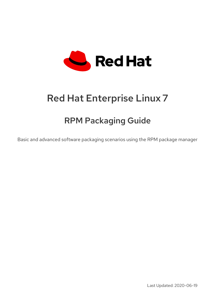

# Red Hat Enterprise Linux 7

# RPM Packaging Guide

Basic and advanced software packaging scenarios using the RPM package manager

Last Updated: 2020-06-19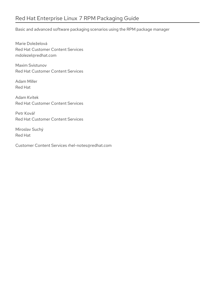Basic and advanced software packaging scenarios using the RPM package manager

Marie Doleželová Red Hat Customer Content Services mdolezel@redhat.com

Maxim Svistunov Red Hat Customer Content Services

Adam Miller Red Hat

Adam Kvítek Red Hat Customer Content Services

Petr Kovář Red Hat Customer Content Services

Miroslav Suchý Red Hat

Customer Content Services rhel-notes@redhat.com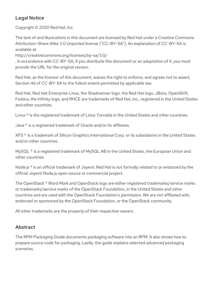## Legal Notice

Copyright © 2020 Red Hat, Inc.

The text of and illustrations in this document are licensed by Red Hat under a Creative Commons Attribution–Share Alike 3.0 Unported license ("CC-BY-SA"). An explanation of CC-BY-SA is available at

http://creativecommons.org/licenses/by-sa/3.0/

. In accordance with CC-BY-SA, if you distribute this document or an adaptation of it, you must provide the URL for the original version.

Red Hat, as the licensor of this document, waives the right to enforce, and agrees not to assert, Section 4d of CC-BY-SA to the fullest extent permitted by applicable law.

Red Hat, Red Hat Enterprise Linux, the Shadowman logo, the Red Hat logo, JBoss, OpenShift, Fedora, the Infinity logo, and RHCE are trademarks of Red Hat, Inc., registered in the United States and other countries.

Linux ® is the registered trademark of Linus Torvalds in the United States and other countries.

Java ® is a registered trademark of Oracle and/or its affiliates.

XFS ® is a trademark of Silicon Graphics International Corp. or its subsidiaries in the United States and/or other countries.

MySQL<sup>®</sup> is a registered trademark of MySQL AB in the United States, the European Union and other countries.

Node.js ® is an official trademark of Joyent. Red Hat is not formally related to or endorsed by the official Joyent Node.js open source or commercial project.

The OpenStack ® Word Mark and OpenStack logo are either registered trademarks/service marks or trademarks/service marks of the OpenStack Foundation, in the United States and other countries and are used with the OpenStack Foundation's permission. We are not affiliated with, endorsed or sponsored by the OpenStack Foundation, or the OpenStack community.

All other trademarks are the property of their respective owners.

## Abstract

The RPM Packaging Guide documents packaging software into an RPM. It also shows how to prepare source code for packaging. Lastly, the guide explains selected advanced packaging scenarios.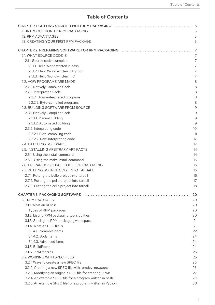## Table of Contents

| CHAPTER 1. GETTING STARTED WITH RPM PACKAGING NARROLL ACCONOMIC LOCAL START SERIES AND THE RESERVED STARTED WITH RPM PACKAGING NARROLL ASSEMBLED AT A START START START START START START START START START START START START |     |
|-------------------------------------------------------------------------------------------------------------------------------------------------------------------------------------------------------------------------------|-----|
| 1.1. INTRODUCTION TO RPM PACKAGING                                                                                                                                                                                            |     |
| 1.2. RPM ADVANTAGES                                                                                                                                                                                                           |     |
| 1.3. CREATING YOUR FIRST RPM PACKAGE                                                                                                                                                                                          |     |
|                                                                                                                                                                                                                               |     |
|                                                                                                                                                                                                                               |     |
| 2.1. WHAT SOURCE CODE IS                                                                                                                                                                                                      |     |
| 2.1.1. Source code examples                                                                                                                                                                                                   |     |
| 2.1.1.1. Hello World written in bash                                                                                                                                                                                          |     |
| 2.1.1.2. Hello World written in Python                                                                                                                                                                                        |     |
| 2.1.1.3. Hello World written in C                                                                                                                                                                                             |     |
| 2.2. HOW PROGRAMS ARE MADE                                                                                                                                                                                                    |     |
| 2.2.1. Natively Compiled Code                                                                                                                                                                                                 |     |
| 2.2.2. Interpreted Code                                                                                                                                                                                                       |     |
| 2.2.2.1. Raw-interpreted programs                                                                                                                                                                                             |     |
| 2.2.2.2. Byte-compiled programs                                                                                                                                                                                               |     |
| 2.3. BUILDING SOFTWARE FROM SOURCE                                                                                                                                                                                            |     |
| 2.3.1. Natively Compiled Code                                                                                                                                                                                                 |     |
| 2.3.1.1. Manual building                                                                                                                                                                                                      |     |
| 2.3.1.2. Automated building                                                                                                                                                                                                   |     |
|                                                                                                                                                                                                                               |     |
| 2.3.2. Interpreting code                                                                                                                                                                                                      |     |
| 2.3.2.1. Byte-compiling code                                                                                                                                                                                                  |     |
| 2.3.2.2. Raw-interpreting code                                                                                                                                                                                                |     |
| 2.4. PATCHING SOFTWARE                                                                                                                                                                                                        |     |
| 2.5. INSTALLING ARBITRARY ARTIFACTS                                                                                                                                                                                           |     |
| 2.5.1. Using the install command                                                                                                                                                                                              |     |
| 2.5.2. Using the make install command                                                                                                                                                                                         |     |
| 2.6. PREPARING SOURCE CODE FOR PACKAGING                                                                                                                                                                                      |     |
| 2.7. PUTTING SOURCE CODE INTO TARBALL                                                                                                                                                                                         |     |
| 2.7.1. Putting the bello project into tarball                                                                                                                                                                                 |     |
| 2.7.2. Putting the pello project into tarball                                                                                                                                                                                 | 17  |
| 2.7.3. Putting the cello project into tarball                                                                                                                                                                                 | 18  |
|                                                                                                                                                                                                                               |     |
| <b>CHAPTER 3. PACKAGING SOFTWARE</b>                                                                                                                                                                                          | -20 |
| 3.1. RPM PACKAGES                                                                                                                                                                                                             | 20  |
| 3.1.1. What an RPM is                                                                                                                                                                                                         | 20  |
| Types of RPM packages                                                                                                                                                                                                         | 20  |
| 3.1.2. Listing RPM packaging tool's utilities                                                                                                                                                                                 | 20  |
| 3.1.3. Setting up RPM packaging workspace                                                                                                                                                                                     | 21  |
| 3.1.4. What a SPEC file is                                                                                                                                                                                                    | 21  |
| 3.1.4.1. Preamble Items                                                                                                                                                                                                       | 22  |
| 3.1.4.2. Body Items                                                                                                                                                                                                           | 24  |
| 3.1.4.3. Advanced items                                                                                                                                                                                                       | 24  |
|                                                                                                                                                                                                                               |     |
| 3.1.5. BuildRoots                                                                                                                                                                                                             | 24  |
| 3.1.6. RPM macros                                                                                                                                                                                                             | 25  |
| 3.2. WORKING WITH SPEC FILES                                                                                                                                                                                                  | 25  |
| 3.2.1. Ways to create a new SPEC file                                                                                                                                                                                         | 26  |
| 3.2.2. Creating a new SPEC file with rpmdev-newspec                                                                                                                                                                           | 26  |
| 3.2.3. Modifying an original SPEC file for creating RPMs                                                                                                                                                                      | 27  |
| 3.2.4. An example SPEC file for a program written in bash                                                                                                                                                                     | 29  |
| 3.2.5. An example SPEC file for a program written in Python                                                                                                                                                                   | 30  |
|                                                                                                                                                                                                                               |     |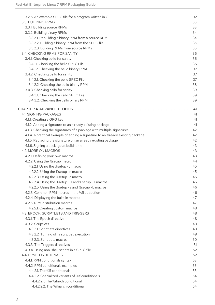| 3.2.6. An example SPEC file for a program written in C                          | 32   |
|---------------------------------------------------------------------------------|------|
| 3.3. BUILDING RPMS                                                              | 33   |
| 3.3.1. Building source RPMs                                                     | 33   |
| 3.3.2. Building binary RPMs                                                     | 34   |
| 3.3.2.1. Rebuilding a binary RPM from a source RPM                              | 34   |
| 3.3.2.2. Building a binary RPM from the SPEC file                               | 35   |
| 3.3.2.3. Building RPMs from source RPMs                                         | 35   |
| 3.4. CHECKING RPMS FOR SANITY                                                   | 36   |
|                                                                                 | 36   |
| 3.4.1. Checking bello for sanity                                                |      |
| 3.4.1.1. Checking the bello SPEC File                                           | 36   |
| 3.4.1.2. Checking the bello binary RPM                                          | 37   |
| 3.4.2. Checking pello for sanity                                                | 37   |
| 3.4.2.1. Checking the pello SPEC File                                           | 37   |
| 3.4.2.2. Checking the pello binary RPM                                          | 38   |
| 3.4.3. Checking cello for sanity                                                | 39   |
| 3.4.3.1. Checking the cello SPEC File                                           | 39   |
| 3.4.3.2. Checking the cello binary RPM                                          | 39   |
|                                                                                 |      |
|                                                                                 | - 41 |
| 4.1. SIGNING PACKAGES                                                           | 41   |
| 4.1.1. Creating a GPG key                                                       |      |
| 4.1.2. Adding a signature to an already existing package                        | 41   |
| 4.1.3. Checking the signatures of a package with multiple signatures            | 42   |
| 4.1.4. A practical example of adding a signature to an already existing package | 42   |
| 4.1.5. Replacing the signature on an already existing package                   | 42   |
| 4.1.6. Signing a package at build-time                                          | 43   |
| 4.2. MORE ON MACROS                                                             | 43   |
| 4.2.1. Defining your own macros                                                 | 43   |
| 4.2.2. Using the %setup macro                                                   | 44   |
| 4.2.2.1. Using the %setup -q macro                                              | 45   |
| 4.2.2.2. Using the %setup -n macro                                              | 45   |
|                                                                                 |      |
| 4.2.2.3. Using the %setup -c macro                                              | 45   |
| 4.2.2.4. Using the %setup -D and %setup -T macros                               | 45   |
| 4.2.2.5. Using the %setup -a and %setup -b macros                               | 46   |
| 4.2.3. Common RPM macros in the %files section                                  | 46   |
| 4.2.4. Displaying the built-in macros                                           | 47   |
| 4.2.5. RPM distribution macros                                                  | 47   |
| 4.2.5.1. Creating custom macros                                                 | 48   |
| 4.3. EPOCH, SCRIPTLETS AND TRIGGERS                                             | 48   |
| 4.3.1. The Epoch directive                                                      | 48   |
| 4.3.2. Scriptlets                                                               | 49   |
| 4.3.2.1. Scriptlets directives                                                  | 49   |
| 4.3.2.2. Turning off a scriptlet execution                                      | 49   |
| 4.3.2.3. Scriptlets macros                                                      | 50   |
| 4.3.3. The Triggers directives                                                  | 51   |
| 4.3.4. Using non-shell scripts in a SPEC file                                   | 52   |
| 4.4. RPM CONDITIONALS                                                           | 52   |
|                                                                                 | 53   |
| 4.4.1. RPM conditionals syntax                                                  |      |
| 4.4.2. RPM conditionals examples                                                | 53   |
| 4.4.2.1. The %if conditionals                                                   | 53   |
| 4.4.2.2. Specialized variants of %if conditionals                               | 54   |
| 4.4.2.2.1. The %ifarch conditional                                              | 54   |
| 4.4.2.2.2. The %ifnarch conditional                                             | 54   |
|                                                                                 |      |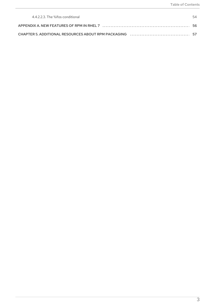| 4.4.2.2.3. The %ifos conditional | 54 |
|----------------------------------|----|
|                                  |    |
|                                  |    |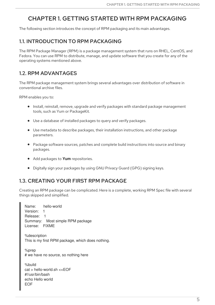## <span id="page-8-0"></span>CHAPTER 1. GETTING STARTED WITH RPM PACKAGING

The following section introduces the concept of RPM packaging and its main advantages.

## <span id="page-8-1"></span>1.1. INTRODUCTION TO RPM PACKAGING

The RPM Package Manager (RPM) is a package management system that runs on RHEL, CentOS, and Fedora. You can use RPM to distribute, manage, and update software that you create for any of the operating systems mentioned above.

## <span id="page-8-2"></span>1.2. RPM ADVANTAGES

The RPM package management system brings several advantages over distribution of software in conventional archive files.

RPM enables you to:

- Install, reinstall, remove, upgrade and verify packages with standard package management tools, such as Yum or PackageKit.
- Use a database of installed packages to query and verify packages.
- Use metadata to describe packages, their installation instructions, and other package parameters.
- Package software sources, patches and complete build instructions into source and binary packages.
- Add packages to **Yum** repositories.
- Digitally sign your packages by using GNU Privacy Guard (GPG) signing keys.

## <span id="page-8-3"></span>1.3. CREATING YOUR FIRST RPM PACKAGE

Creating an RPM package can be complicated. Here is a complete, working RPM Spec file with several things skipped and simplified.

| Version: 1<br>Release: 1<br>License: FIXME                                              | Name: hello-world<br>Summary: Most simple RPM package |  |
|-----------------------------------------------------------------------------------------|-------------------------------------------------------|--|
| %description                                                                            | This is my first RPM package, which does nothing.     |  |
| %prep                                                                                   | # we have no source, so nothing here                  |  |
| %build<br>$cat >$ hello-world sh $<<$ EOF<br>#!/usr/bin/bash<br>echo Hello world<br>EOF |                                                       |  |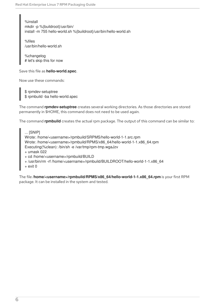%install mkdir -p %{buildroot}/usr/bin/ install -m 755 hello-world.sh %{buildroot}/usr/bin/hello-world.sh

%files /usr/bin/hello-world.sh

%changelog # let's skip this for now

Save this file as **hello-world.spec**.

Now use these commands:

\$ rpmdev-setuptree \$ rpmbuild -ba hello-world.spec

The command **rpmdev-setuptree** creates several working directories. As those directories are stored permanently in \$HOME, this command does not need to be used again.

The command **rpmbuild** creates the actual rpm package. The output of this command can be similar to:

... [SNIP] Wrote: /home/<username>/rpmbuild/SRPMS/hello-world-1-1.src.rpm Wrote: /home/<username>/rpmbuild/RPMS/x86\_64/hello-world-1-1.x86\_64.rpm Executing(%clean): /bin/sh -e /var/tmp/rpm-tmp.wgaJzv + umask 022 + cd /home/<username>/rpmbuild/BUILD + /usr/bin/rm -rf /home/<username>/rpmbuild/BUILDROOT/hello-world-1-1.x86\_64  $+$  exit 0

The file **/home/<username>/rpmbuild/RPMS/x86\_64/hello-world-1-1.x86\_64.rpm** is your first RPM package. It can be installed in the system and tested.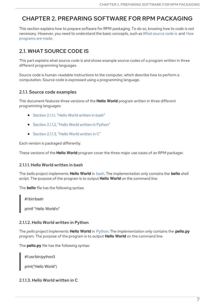## <span id="page-10-0"></span>CHAPTER 2. PREPARING SOFTWARE FOR RPM PACKAGING

This section explains how to prepare software for RPM packaging. To do so, knowing how to code is not necessary. However, you need to [understand](#page-11-0) the basic concepts, such as What [source](#page-10-1) code is and How programs are made.

## <span id="page-10-1"></span>2.1. WHAT SOURCE CODE IS

This part explains what source code is and shows example source codes of a program written in three different programming languages.

Source code is human-readable instructions to the computer, which describe how to perform a computation. Source code is expressed using a programming language.

## <span id="page-10-2"></span>2.1.1. Source code examples

This document features three versions of the **Hello World** program written in three different programming languages:

- [Section](#page-10-3) 2.1.1.1, "Hello World written in bash"
- Section 2.1.1.2, "Hello World written in [Python"](#page-10-4)
- [Section](#page-11-5) 2.1.1.3. "Hello World written in C"

Each version is packaged differently.

These versions of the **Hello World** program cover the three major use cases of an RPM packager.

#### <span id="page-10-3"></span>2.1.1.1. Hello World written in bash

The *bello* project implements **Hello World** in [bash](https://www.gnu.org/software/bash/). The implementation only contains the **bello** shell script. The purpose of the program is to output **Hello World** on the command line.

The **bello** file has the following syntax:

#!/bin/bash

printf "Hello World\n"

#### <span id="page-10-4"></span>2.1.1.2. Hello World written in Python

The *pello* project implements **Hello World** in [Python.](https://www.python.org/) The implementation only contains the **pello.py** program. The purpose of the program is to output **Hello World** on the command line.

The **pello.py** file has the following syntax:

#!/usr/bin/python3

print("Hello World")

## <span id="page-10-5"></span>2.1.1.3. Hello World written in C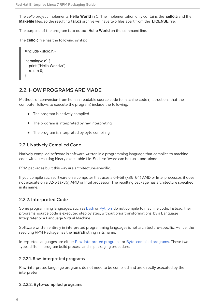<span id="page-11-5"></span>The *cello* project implements **Hello World** in C. The implementation only contains the **cello.c** and the **Makefile** files, so the resulting **tar.gz** archive will have two files apart from the **LICENSE** file.

The purpose of the program is to output **Hello World** on the command line.

The **cello.c** file has the following syntax:

```
#include <stdio.h>
int main(void) {
  printf("Hello World\n");
  return 0;
}
```
## <span id="page-11-0"></span>2.2. HOW PROGRAMS ARE MADE

Methods of conversion from human-readable source code to machine code (instructions that the computer follows to execute the program) include the following:

- The program is natively compiled.
- The program is interpreted by raw interpreting.
- The program is interpreted by byte compiling.

## <span id="page-11-1"></span>2.2.1. Natively Compiled Code

Natively compiled software is software written in a programming language that compiles to machine code with a resulting binary executable file. Such software can be run stand-alone.

RPM packages built this way are architecture-specific.

If you compile such software on a computer that uses a 64-bit (x86–64) AMD or Intel processor, it does not execute on a 32-bit (x86) AMD or Intel processor. The resulting package has architecture specified in its name.

## <span id="page-11-2"></span>2.2.2. Interpreted Code

Some programming languages, such as [bash](https://www.gnu.org/software/bash/) or [Python](https://www.python.org/), do not compile to machine code. Instead, their programs' source code is executed step by step, without prior transformations, by a Language Interpreter or a Language Virtual Machine.

Software written entirely in interpreted programming languages is not architecture-specific. Hence, the resulting RPM Package has the **noarch** string in its name.

Interpreted languages are either [Raw-interpreted](#page-11-3) programs or [Byte-compiled](#page-12-4) programs. These two types differ in program build process and in packaging procedure.

#### <span id="page-11-3"></span>2.2.2.1. Raw-interpreted programs

Raw-interpreted language programs do not need to be compiled and are directly executed by the interpreter.

#### <span id="page-11-4"></span>2.2.2.2. Byte-compiled programs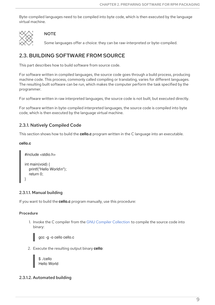<span id="page-12-4"></span>Byte-compiled languages need to be compiled into byte code, which is then executed by the language virtual machine.



#### **NOTE**

Some languages offer a choice: they can be raw-interpreted or byte-compiled.

## <span id="page-12-0"></span>2.3. BUILDING SOFTWARE FROM SOURCE

This part describes how to build software from source code.

For software written in compiled languages, the source code goes through a build process, producing machine code. This process, commonly called compiling or translating, varies for different languages. The resulting built software can be run, which makes the computer perform the task specified by the programmer.

For software written in raw interpreted languages, the source code is not built, but executed directly.

For software written in byte-compiled interpreted languages, the source code is compiled into byte code, which is then executed by the language virtual machine.

## <span id="page-12-1"></span>2.3.1. Natively Compiled Code

This section shows how to build the **cello.c** program written in the C language into an executable.

#### **cello.c**

```
#include <stdio.h>
int main(void) {
  printf("Hello World\n");
  return 0;
}
```
#### <span id="page-12-2"></span>2.3.1.1. Manual building

If you want to build the **cello.c** program manually, use this procedure:

#### Procedure

1. Invoke the C compiler from the GNU Compiler [Collection](https://gcc.gnu.org/) to compile the source code into binary:



2. Execute the resulting output binary **cello**:



#### <span id="page-12-3"></span>2.3.1.2. Automated building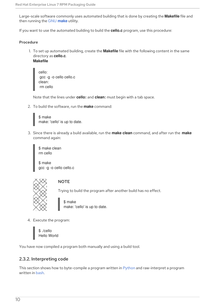Large-scale software commonly uses automated building that is done by creating the **Makefile** file and then running the GNU **[make](http://www.gnu.org/software/make/)** utility.

If you want to use the automated building to build the **cello.c** program, use this procedure:

#### Procedure

1. To set up automated building, create the **Makefile** file with the following content in the same directory as **cello.c**.

**Makefile**

cello: gcc -g -o cello cello.c clean: rm cello

Note that the lines under **cello:** and **clean:** must begin with a tab space.

2. To build the software, run the **make** command:

\$ make make: 'cello' is up to date.

3. Since there is already a build available, run the **make clean** command, and after run the **make** command again:

\$ make clean rm cello

\$ make gcc -g -o cello cello.c



## **NOTE**

Trying to build the program after another build has no effect.

\$ make make: 'cello' is up to date.

4. Execute the program:

\$ ./cello Hello World

You have now compiled a program both manually and using a build tool.

## <span id="page-13-0"></span>2.3.2. Interpreting code

This section shows how to byte-compile a program written in [Python](https://www.python.org/) and raw-interpret a program written in [bash](https://www.gnu.org/software/bash/).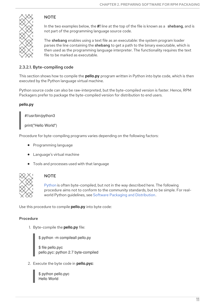

## **NOTE**

In the two examples below, the **#!** line at the top of the file is known as a shebang, and is not part of the programming language source code.

The shebang enables using a text file as an executable: the system program loader parses the line containing the shebang to get a path to the binary executable, which is then used as the programming language interpreter. The functionality requires the text file to be marked as executable.

## <span id="page-14-0"></span>2.3.2.1. Byte-compiling code

This section shows how to compile the **pello.py** program written in Python into byte code, which is then executed by the Python language virtual machine.

Python source code can also be raw-interpreted, but the byte-compiled version is faster. Hence, RPM Packagers prefer to package the byte-compiled version for distribution to end users.

## **pello.py**

#!/usr/bin/python3

print("Hello World")

Procedure for byte-compiling programs varies depending on the following factors:

- Programming language
- Language's virtual machine
- Tools and processes used with that language



## **NOTE**

[Python](https://www.python.org/) is often byte-compiled, but not in the way described here. The following procedure aims not to conform to the community standards, but to be simple. For realworld Python guidelines, see Software Packaging and [Distribution](https://docs.python.org/2/library/distribution.html).

Use this procedure to compile **pello.py** into byte code:

## Procedure

1. Byte-compile the **pello.py** file:

\$ python -m compileall pello.py \$ file pello.pyc pello.pyc: python 2.7 byte-compiled

2. Execute the byte code in **pello.pyc**:

\$ python pello.pyc Hello World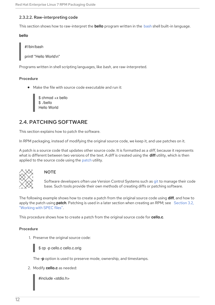#### <span id="page-15-0"></span>2.3.2.2. Raw-interpreting code

This section shows how to raw-interpret the **bello** program written in the [bash](https://www.gnu.org/software/bash/) shell built-in language.

#### **bello**

#!/bin/bash

printf "Hello World\n"

Programs written in shell scripting languages, like *bash*, are raw-interpreted.

#### Procedure

Make the file with source code executable and run it:

\$ chmod +x bello \$ ./bello Hello World

## <span id="page-15-1"></span>2.4. PATCHING SOFTWARE

This section explains how to patch the software.

In RPM packaging, instead of modifying the original source code, we keep it, and use patches on it.

A patch is a source code that updates other source code. It is formatted as a *diff*, because it represents what is different between two versions of the text. A *diff* is created using the **diff** utility, which is then applied to the source code using the [patch](http://savannah.gnu.org/projects/patch/) utility.



#### **NOTE**

Software developers often use Version Control Systems such as [git](https://git-scm.com/) to manage their code base. Such tools provide their own methods of creating diffs or patching software.

The following example shows how to create a patch from the original source code using **diff**, and how to apply the patch using **patch**. Patching is used in a later section when creating an RPM; see Section 3.2, ["Working](#page-32-1) with SPEC files".

This procedure shows how to create a patch from the original source code for **cello.c**.

#### Procedure

1. Preserve the original source code:



\$ cp -p cello.c cello.c.orig

The **-p** option is used to preserve mode, ownership, and timestamps.

2. Modify **cello.c** as needed:

#include <stdio.h>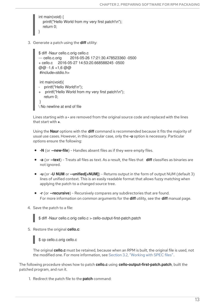```
int main(void) {
  printf("Hello World from my very first patch!\n");
  return 0;
}
```
3. Generate a patch using the **diff** utility:

```
$ diff -Naur cello.c.orig cello.c
--- cello.c.orig 2016-05-26 17:21:30.478523360 -0500
+ cello.c 2016-05-27 14:53:20.668588245 -0500
@@ -1,6 +1,6 @@#include<stdio.h>
int main(void){
   printf("Hello World!\n");
+ printf("Hello World from my very first patch!\n");
   return 0;
}
\ No newline at end of file
```
Lines starting with a **-** are removed from the original source code and replaced with the lines that start with **+**.

Using the **Naur** options with the **diff** command is recommended because it fits the majority of usual use cases. However, in this particular case, only the **-u** option is necessary. Particular options ensure the following:

- **-N** (or **--new-file**) Handles absent files as if they were empty files.
- **-a** (or **--text**) Treats all files as text. As a result, the files that **diff** classifies as binaries are not ignored.
- **-u** (or **-U NUM** or **--unified[=NUM]**) Returns output in the form of output NUM (default 3) lines of unified context. This is an easily readable format that allows fuzzy matching when applying the patch to a changed source tree.
- **-r** (or **--recursive**) Recursively compares any subdirectories that are found. For more information on common arguments for the **diff** utility, see the **diff** manual page.
- 4. Save the patch to a file:

\$ diff -Naur cello.c.orig cello.c > cello-output-first-patch.patch

5. Restore the original **cello.c**:

\$ cp cello.c.orig cello.c

The original **cello.c** must be retained, because when an RPM is built, the original file is used, not the modified one. For more information, see Section 3.2, ["Working](#page-32-1) with SPEC files".

The following procedure shows how to patch **cello.c** using **cello-output-first-patch.patch**, built the patched program, and run it.

1. Redirect the patch file to the **patch** command: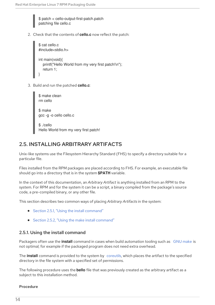\$ patch < cello-output-first-patch.patch patching file cello.c

2. Check that the contents of **cello.c** now reflect the patch:

```
$ cat cello.c
#include<stdio.h>
int main(void){
  printf("Hello World from my very first patch!\n");
  return 1;
}
```
3. Build and run the patched **cello.c**:



## <span id="page-17-0"></span>2.5. INSTALLING ARBITRARY ARTIFACTS

Unix-like systems use the Filesystem Hierarchy Standard (FHS) to specify a directory suitable for a particular file.

Files installed from the RPM packages are placed according to FHS. For example, an executable file should go into a directory that is in the system **\$PATH** variable.

In the context of this documentation, an *Arbitrary Artifact* is anything installed from an RPM to the system. For RPM and for the system it can be a script, a binary compiled from the package's source code, a pre-compiled binary, or any other file.

This section describes two common ways of placing *Arbitrary Artifacts* in the system:

- Section 2.5.1, "Using the install [command"](#page-18-1)
- Section 2.5.2, "Using the make install [command"](#page-18-0)

## <span id="page-17-1"></span>2.5.1. Using the install command

Packagers often use the **install** command in cases when build automation tooling such as GNU [make](http://www.gnu.org/software/make/) is not optimal; for example if the packaged program does not need extra overhead.

The **install** command is provided to the system by [coreutils](http://www.gnu.org/software/coreutils/coreutils.html), which places the artifact to the specified directory in the file system with a specified set of permissions.

The following procedure uses the **bello** file that was previously created as the arbitrary artifact as a subject to this installation method.

#### Procedure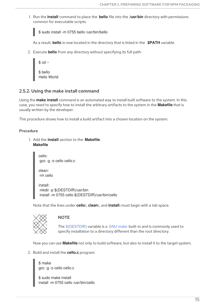<span id="page-18-1"></span>1. Run the **install** command to place the **bello** file into the **/usr/bin** directory with permissions common for executable scripts:

\$ sudo install -m 0755 bello /usr/bin/bello

As a result, **bello** is now located in the directory that is listed in the **\$PATH** variable.

2. Execute **bello** from any directory without specifying its full path:

| $\$$ cd $\sim$          |
|-------------------------|
| \$ bello<br>Hello World |

### <span id="page-18-0"></span>2.5.2. Using the make install command

Using the **make install** command is an automated way to install built software to the system. In this case, you need to specify how to install the arbitrary artifacts to the system in the **Makefile** that is usually written by the developer.

This procedure shows how to install a build artifact into a chosen location on the system.

#### Procedure

1. Add the **install** section to the **Makefile**: **Makefile**

```
cello:
gcc -g -o cello cello.c
```
clean: rm cello

install: mkdir -p \$(DESTDIR)/usr/bin install -m 0755 cello \$(DESTDIR)/usr/bin/cello

Note that the lines under **cello:**, **clean:**, and **install:** must begin with a tab space.



#### **NOTE**

The [\\$\(DESTDIR\)](https://www.gnu.org/software/make/manual/html_node/DESTDIR.html) variable is a GNU [make](http://www.gnu.org/software/make/) built-in and is commonly used to specify installation to a directory different than the root directory.

Now you can use **Makefile** not only to build software, but also to install it to the target system.

2. Build and install the **cello.c** program:

\$ make gcc -g -o cello cello.c

\$ sudo make install install -m 0755 cello /usr/bin/cello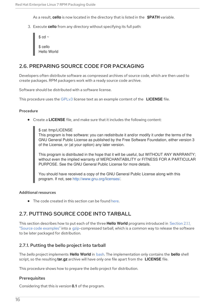As a result, **cello** is now located in the directory that is listed in the **\$PATH** variable.

3. Execute **cello** from any directory without specifying its full path:

```
$ cd ~\sim$ cello
Hello World
```
## <span id="page-19-0"></span>2.6. PREPARING SOURCE CODE FOR PACKAGING

Developers often distribute software as compressed archives of source code, which are then used to create packages. RPM packagers work with a ready source code archive.

Software should be distributed with a software license.

This procedure uses the [GPLv3](https://www.gnu.org/licenses/quick-guide-gplv3.html) license text as an example content of the **LICENSE** file.

#### Procedure

Create a **LICENSE** file, and make sure that it includes the following content:

\$ cat /tmp/LICENSE

This program is free software: you can redistribute it and/or modify it under the terms of the GNU General Public License as published by the Free Software Foundation, either version 3 of the License, or (at your option) any later version.

This program is distributed in the hope that it will be useful, but WITHOUT ANY WARRANTY; without even the implied warranty of MERCHANTABILITY or FITNESS FOR A PARTICULAR PURPOSE. See the GNU General Public License for more details.

You should have received a copy of the GNU General Public License along with this program. If not, see <http://www.gnu.org/licenses/>.

#### Additional resources

• The code created in this section can be found [here.](https://github.com/redhat-developer/rpm-packaging-guide/tree/master/example-code)

## <span id="page-19-1"></span>2.7. PUTTING SOURCE CODE INTO TARBALL

This section describes how to put each of the three **Hello World** programs introduced in Section 2.1.1, "Source code examples" into a [gzip-compressed](#page-10-2) tarball, which is a common way to release the software to be later packaged for distribution.

#### <span id="page-19-2"></span>2.7.1. Putting the bello project into tarball

The *bello* project implements **Hello World** in [bash](https://www.gnu.org/software/bash/). The implementation only contains the **bello** shell script, so the resulting **tar.gz** archive will have only one file apart from the **LICENSE** file.

This procedure shows how to prepare the *bello* project for distribution.

#### **Prerequisites**

Considering that this is version **0.1** of the program.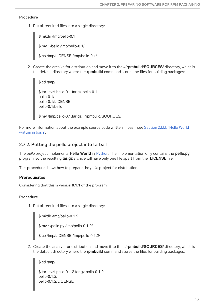#### Procedure

1. Put all required files into a single directory:

\$ mkdir /tmp/bello-0.1 \$ mv ~/bello /tmp/bello-0.1/ \$ cp /tmp/LICENSE /tmp/bello-0.1/

2. Create the archive for distribution and move it to the **~/rpmbuild/SOURCES/** directory, which is the default directory where the **rpmbuild** command stores the files for building packages:

```
$ cd /tmp/
$ tar -cvzf bello-0.1.tar.gz bello-0.1
bello-0.1/
bello-0.1/LICENSE
bello-0.1/bello
```
\$ mv /tmp/bello-0.1.tar.gz ~/rpmbuild/SOURCES/

For more [information](#page-10-3) about the example source code written in bash, see Section 2.1.1.1, "Hello World written in bash".

### <span id="page-20-0"></span>2.7.2. Putting the pello project into tarball

The *pello* project implements **Hello World** in [Python.](https://www.python.org/) The implementation only contains the **pello.py** program, so the resulting **tar.gz** archive will have only one file apart from the **LICENSE** file.

This procedure shows how to prepare the *pello* project for distribution.

#### **Prerequisites**

Considering that this is version **0.1.1** of the program.

#### Procedure

1. Put all required files into a single directory:

\$ mkdir /tmp/pello-0.1.2

\$ mv ~/pello.py /tmp/pello-0.1.2/

\$ cp /tmp/LICENSE /tmp/pello-0.1.2/

2. Create the archive for distribution and move it to the **~/rpmbuild/SOURCES/** directory, which is the default directory where the **rpmbuild** command stores the files for building packages:

\$ cd /tmp/ \$ tar -cvzf pello-0.1.2.tar.gz pello-0.1.2 pello-0.1.2/ pello-0.1.2/LICENSE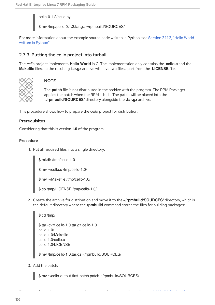pello-0.1.2/pello.py

\$ mv /tmp/pello-0.1.2.tar.gz ~/rpmbuild/SOURCES/

For more [information](#page-10-4) about the example source code written in Python, see Section 2.1.1.2, "Hello World written in Python".

## <span id="page-21-0"></span>2.7.3. Putting the cello project into tarball

The *cello* project implements **Hello World** in C. The implementation only contains the **cello.c** and the **Makefile** files, so the resulting **tar.gz** archive will have two files apart from the **LICENSE** file.



## **NOTE**

The **patch** file is not distributed in the archive with the program. The RPM Packager applies the patch when the RPM is built. The patch will be placed into the **~/rpmbuild/SOURCES/** directory alongside the **.tar.gz** archive.

This procedure shows how to prepare the *cello* project for distribution.

#### **Prerequisites**

Considering that this is version **1.0** of the program.

#### Procedure

1. Put all required files into a single directory:

\$ mkdir /tmp/cello-1.0

\$ mv ~/cello.c /tmp/cello-1.0/

\$ mv ~/Makefile /tmp/cello-1.0/

\$ cp /tmp/LICENSE /tmp/cello-1.0/

2. Create the archive for distribution and move it to the **~/rpmbuild/SOURCES/** directory, which is the default directory where the **rpmbuild** command stores the files for building packages:

\$ cd /tmp/ \$ tar -cvzf cello-1.0.tar.gz cello-1.0 cello-1.0/ cello-1.0/Makefile cello-1.0/cello.c cello-1.0/LICENSE

\$ mv /tmp/cello-1.0.tar.gz ~/rpmbuild/SOURCES/

3. Add the patch:

\$ mv ~/cello-output-first-patch.patch ~/rpmbuild/SOURCES/

For more information about the example source code written in C, see Section 2.1.1.3, "Hello World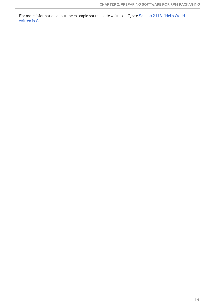For more [information](#page-11-5) about the example source code written in C, see Section 2.1.1.3, "Hello World written in C".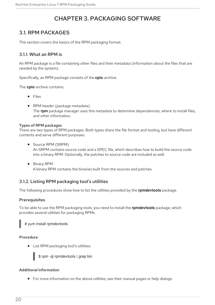## CHAPTER 3. PACKAGING SOFTWARE

## <span id="page-23-1"></span><span id="page-23-0"></span>3.1. RPM PACKAGES

This section covers the basics of the RPM packaging format.

## <span id="page-23-2"></span>3.1.1. What an RPM is

An RPM package is a file containing other files and their metadata (information about the files that are needed by the system).

Specifically, an RPM package consists of the **cpio** archive.

The **cpio** archive contains:

- Files
- RPM header (package metadata) The **rpm** package manager uses this metadata to determine dependencies, where to install files, and other information.

#### <span id="page-23-3"></span>Types of RPM packages

There are two types of RPM packages. Both types share the file format and tooling, but have different contents and serve different purposes:

- Source RPM (SRPM) An SRPM contains source code and a SPEC file, which describes how to build the source code into a binary RPM. Optionally, the patches to source code are included as well.
- **•** Binary RPM A binary RPM contains the binaries built from the sources and patches.

## <span id="page-23-4"></span>3.1.2. Listing RPM packaging tool's utilities

The following procedures show how to list the utilities provided by the **rpmdevtools** package.

#### **Prerequisites**

To be able to use the RPM packaging tools, you need to install the **rpmdevtools** package, which provides several utilities for packaging RPMs.

# yum install rpmdevtools

#### Procedure

List RPM packaging tool's utilities:



\$ rpm -ql rpmdevtools | grep bin

#### Additional information

For more information on the above utilities, see their manual pages or help dialogs.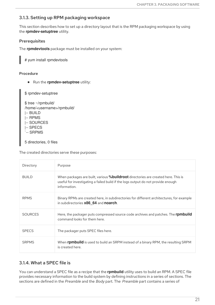## <span id="page-24-0"></span>3.1.3. Setting up RPM packaging workspace

This section describes how to set up a directory layout that is the RPM packaging workspace by using the **rpmdev-setuptree** utility.

## Prerequisites

The **rpmdevtools** package must be installed on your system:

# yum install rpmdevtools

### Procedure

**•** Run the **rpmdev-setuptree** utility:

\$ rpmdev-setuptree

\$ tree ~/rpmbuild/ /home/<username>/rpmbuild/ |-- BUILD |-- RPMS |-- SOURCES |-- SPECS `-- SRPMS 5 directories, 0 files

The created directories serve these purposes:

| Directory      | Purpose                                                                                                                                                                                      |
|----------------|----------------------------------------------------------------------------------------------------------------------------------------------------------------------------------------------|
| <b>BUILD</b>   | When packages are built, various <b>%buildroot</b> directories are created here. This is<br>useful for investigating a failed build if the logs output do not provide enough<br>information. |
| <b>RPMS</b>    | Binary RPMs are created here, in subdirectories for different architectures, for example<br>in subdirectories x86 64 and noarch.                                                             |
| <b>SOURCES</b> | Here, the packager puts compressed source code archives and patches. The <b>rpmbuild</b><br>command looks for them here.                                                                     |
| <b>SPECS</b>   | The packager puts SPEC files here.                                                                                                                                                           |
| <b>SRPMS</b>   | When <b>rpmbuild</b> is used to build an SRPM instead of a binary RPM, the resulting SRPM<br>is created here.                                                                                |

## <span id="page-24-1"></span>3.1.4. What a SPEC file is

You can understand a SPEC file as a recipe that the **rpmbuild** utility uses to build an RPM. A SPEC file provides necessary information to the build system by defining instructions in a series of sections. The sections are defined in the *Preamble* and the *Body* part. The *Preamble* part contains a series of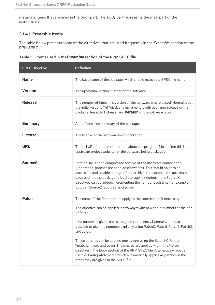metadata items that are used in the *Body* part. The *Body* part represents the main part of the instructions.

### <span id="page-25-0"></span>3.1.4.1. Preamble Items

The table below presents some of the directives that are used frequently in the *Preamble* section of the RPM SPEC file.

| Table 3.1. Items used in the Preamble section of the RPM SPEC file |  |
|--------------------------------------------------------------------|--|
|--------------------------------------------------------------------|--|

| <b>SPEC Directive</b> | <b>Definition</b>                                                                                                                                                                                                                                                                                                                                                                                                                                                                                                                                                                                                                                                                             |
|-----------------------|-----------------------------------------------------------------------------------------------------------------------------------------------------------------------------------------------------------------------------------------------------------------------------------------------------------------------------------------------------------------------------------------------------------------------------------------------------------------------------------------------------------------------------------------------------------------------------------------------------------------------------------------------------------------------------------------------|
| <b>Name</b>           | The base name of the package, which should match the SPEC file name.                                                                                                                                                                                                                                                                                                                                                                                                                                                                                                                                                                                                                          |
| <b>Version</b>        | The upstream version number of the software.                                                                                                                                                                                                                                                                                                                                                                                                                                                                                                                                                                                                                                                  |
| <b>Release</b>        | The number of times this version of the software was released. Normally, set<br>the initial value to 1%{?dist}, and increment it with each new release of the<br>package. Reset to 1 when a new Version of the software is built.                                                                                                                                                                                                                                                                                                                                                                                                                                                             |
| <b>Summary</b>        | A brief, one-line summary of the package.                                                                                                                                                                                                                                                                                                                                                                                                                                                                                                                                                                                                                                                     |
| <b>License</b>        | The license of the software being packaged.                                                                                                                                                                                                                                                                                                                                                                                                                                                                                                                                                                                                                                                   |
| <b>URL</b>            | The full URL for more information about the program. Most often this is the<br>upstream project website for the software being packaged.                                                                                                                                                                                                                                                                                                                                                                                                                                                                                                                                                      |
| Source <sub>0</sub>   | Path or URL to the compressed archive of the upstream source code<br>(unpatched, patches are handled elsewhere). This should point to an<br>accessible and reliable storage of the archive, for example, the upstream<br>page and not the packager's local storage. If needed, more SourceX<br>directives can be added, incrementing the number each time, for example:<br>Source1, Source2, Source3, and so on.                                                                                                                                                                                                                                                                              |
| <b>Patch</b>          | The name of the first patch to apply to the source code if necessary.<br>The directive can be applied in two ways: with or without numbers at the end<br>of Patch.<br>If no number is given, one is assigned to the entry internally. It is also<br>possible to give the numbers explicitly using PatchO, Patch1, Patch2, Patch3,<br>and so on.<br>These patches can be applied one by one using the %patch0, %patch1,<br>%patch2 macro and so on. The macros are applied within the %prep<br>directive in the Body section of the RPM SPEC file. Alternatively, you can<br>use the %autopatch macro which automatically applies all patches in the<br>order they are given in the SPEC file. |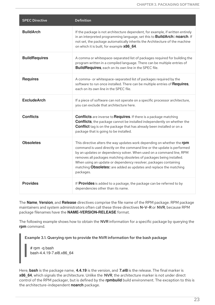| <b>SPEC Directive</b> | <b>Definition</b>                                                                                                                                                                                                                                                                                                                                                                                                                                        |
|-----------------------|----------------------------------------------------------------------------------------------------------------------------------------------------------------------------------------------------------------------------------------------------------------------------------------------------------------------------------------------------------------------------------------------------------------------------------------------------------|
| <b>BuildArch</b>      | If the package is not architecture dependent, for example, if written entirely<br>in an interpreted programming language, set this to <b>BuildArch: noarch</b> . If<br>not set, the package automatically inherits the Architecture of the machine<br>on which it is built, for example x86_64.                                                                                                                                                          |
| <b>BuildRequires</b>  | A comma or whitespace-separated list of packages required for building the<br>program written in a compiled language. There can be multiple entries of<br>BuildRequires, each on its own line in the SPEC file.                                                                                                                                                                                                                                          |
| <b>Requires</b>       | A comma- or whitespace-separated list of packages required by the<br>software to run once installed. There can be multiple entries of Requires,<br>each on its own line in the SPEC file.                                                                                                                                                                                                                                                                |
| <b>ExcludeArch</b>    | If a piece of software can not operate on a specific processor architecture,<br>you can exclude that architecture here.                                                                                                                                                                                                                                                                                                                                  |
| <b>Conflicts</b>      | <b>Conflicts</b> are inverse to Requires. If there is a package matching<br><b>Conflicts</b> , the package cannot be installed independently on whether the<br><b>Conflict</b> tag is on the package that has already been installed or on a<br>package that is going to be installed.                                                                                                                                                                   |
| <b>Obsoletes</b>      | This directive alters the way updates work depending on whether the rpm<br>command is used directly on the command line or the update is performed<br>by an updates or dependency solver. When used on a command line, RPM<br>removes all packages matching obsoletes of packages being installed.<br>When using an update or dependency resolver, packages containing<br>matching Obsoletes: are added as updates and replace the matching<br>packages. |
| <b>Provides</b>       | If Provides is added to a package, the package can be referred to by<br>dependencies other than its name.                                                                                                                                                                                                                                                                                                                                                |

The **Name**, **Version**, and **Release** directives comprise the file name of the RPM package. RPM package maintainers and system administrators often call these three directives N-V-R or NVR, because RPM package filenames have the **NAME-VERSION-RELEASE** format.

The following example shows how to obtain the NVR information for a specific package by querying the **rpm** command.

Example 3.1. Querying rpm to provide the NVR information for the bash package

# rpm -q bash bash-4.4.19-7.el8.x86\_64

Here, **bash** is the package name, **4.4.19** is the version, and **7.el8** is the release. The final marker is **x86\_64**, which signals the architecture. Unlike the NVR, the architecture marker is not under direct control of the RPM packager, but is defined by the **rpmbuild** build environment. The exception to this is the architecture-independent **noarch** package.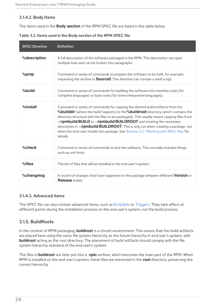#### <span id="page-27-0"></span>3.1.4.2. Body Items

The items used in the **Body section** of the RPM SPEC file are listed in the table below.

| <b>SPEC Directive</b> | <b>Definition</b>                                                                                                                                                                                                                                                                                                                                                                                                                                                                                                                                           |
|-----------------------|-------------------------------------------------------------------------------------------------------------------------------------------------------------------------------------------------------------------------------------------------------------------------------------------------------------------------------------------------------------------------------------------------------------------------------------------------------------------------------------------------------------------------------------------------------------|
| %description          | A full description of the software packaged in the RPM. This description can span<br>multiple lines and can be broken into paragraphs.                                                                                                                                                                                                                                                                                                                                                                                                                      |
| %prep                 | Command or series of commands to prepare the software to be built, for example,<br>unpacking the archive in <b>Source0</b> . This directive can contain a shell script.                                                                                                                                                                                                                                                                                                                                                                                     |
| %build                | Command or series of commands for building the software into machine code (for<br>compiled languages) or byte code (for some interpreted languages).                                                                                                                                                                                                                                                                                                                                                                                                        |
| %install              | Command or series of commands for copying the desired build artifacts from the<br><b>%builddir</b> (where the build happens) to the <b>%buildroot</b> directory (which contains the<br>directory structure with the files to be packaged). This usually means copying files from<br>~/rpmbuild/BUILD to ~/rpmbuild/BUILDROOT and creating the necessary<br>directories in ~/ <b>rpmbuild/BUILDROOT</b> . This is only run when creating a package, not<br>when the end-user installs the package. See Section 3.2, "Working with SPEC files"for<br>details. |
| %check                | Command or series of commands to test the software. This normally includes things<br>such as unit tests.                                                                                                                                                                                                                                                                                                                                                                                                                                                    |
| %files                | The list of files that will be installed in the end user's system.                                                                                                                                                                                                                                                                                                                                                                                                                                                                                          |
| %changelog            | A record of changes that have happened to the package between different Version or<br><b>Release</b> builds.                                                                                                                                                                                                                                                                                                                                                                                                                                                |

Table 3.2. Items used in the Body section of the RPM SPEC file

#### <span id="page-27-1"></span>3.1.4.3. Advanced items

The SPEC file can also contain advanced items, such as [Scriptlets](#page-52-1) or [Triggers](#page-54-0). They take effect at different points during the installation process on the end user's system, not the build process.

## <span id="page-27-2"></span>3.1.5. BuildRoots

In the context of RPM packaging, **buildroot** is a chroot environment. This means that the build artifacts are placed here using the same file system hierarchy as the future hierarchy in end user's system, with **buildroot** acting as the root directory. The placement of build artifacts should comply with the file system hierarchy standard of the end user's system.

The files in **buildroot** are later put into a **cpio** archive, which becomes the main part of the RPM. When RPM is installed on the end user's system, these files are extracted in the **root** directory, preserving the correct hierarchy.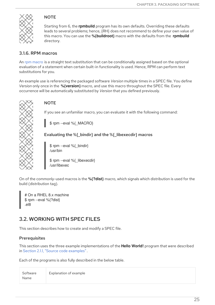

## **NOTE**

Starting from 6, the **rpmbuild** program has its own defaults. Overriding these defaults leads to several problems; hence, {RH} does not recommend to define your own value of this macro. You can use the **%{buildroot}** macro with the defaults from the **rpmbuild** directory.

## <span id="page-28-0"></span>3.1.6. RPM macros

An rpm [macro](http://rpm.org/user_doc/macros.html) is a straight text substitution that can be conditionally assigned based on the optional evaluation of a statement when certain built-in functionality is used. Hence, RPM can perform text substitutions for you.

An example use is referencing the packaged software *Version* multiple times in a SPEC file. You define *Version* only once in the **%{version}** macro, and use this macro throughout the SPEC file. Every occurrence will be automatically substituted by *Version* that you defined previously.



## **NOTE**

If you see an unfamiliar macro, you can evaluate it with the following command:

\$ rpm --eval %{\_MACRO}

## Evaluating the %{\_bindir} and the %{\_libexecdir} macros

\$ rpm --eval %{\_bindir} /usr/bin

\$ rpm --eval %{\_libexecdir} /usr/libexec

On of the commonly-used macros is the **%{?dist}** macro, which signals which distribution is used for the build (distribution tag).

# On a RHEL 8.x machine \$ rpm --eval %{?dist} .el8

## <span id="page-28-1"></span>3.2. WORKING WITH SPEC FILES

This section describes how to create and modify a SPEC file.

## **Prerequisites**

This section uses the three example implementations of the **Hello World!** program that were described in Section 2.1.1, "Source code [examples"](#page-10-2).

Each of the programs is also fully described in the below table.

| Software | Explanation of example |
|----------|------------------------|
| Name     |                        |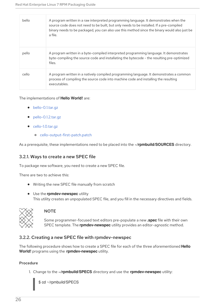| bello | A program written in a raw interpreted programming language. It demonstrates when the<br>source code does not need to be built, but only needs to be installed. If a pre-compiled<br>binary needs to be packaged, you can also use this method since the binary would also just be<br>a file. |
|-------|-----------------------------------------------------------------------------------------------------------------------------------------------------------------------------------------------------------------------------------------------------------------------------------------------|
| pello | A program written in a byte-compiled interpreted programming language. It demonstrates<br>byte-compiling the source code and installating the bytecode - the resulting pre-optimized<br>files.                                                                                                |
| cello | A program written in a natively compiled programming language. It demonstrates a common<br>process of compiling the source code into machine code and installing the resulting<br>executables.                                                                                                |

#### The implementations of **Hello World!** are:

- [bello-0.1.tar.gz](https://github.com/redhat-developer/rpm-packaging-guide/raw/master/example-code/bello-0.1.tar.gz)
- [pello-0.1.2.tar.gz](https://github.com/redhat-developer/rpm-packaging-guide/raw/master/example-code/pello-0.1.2.tar.gz)
- cello-1.0.tar.qz
	- [cello-output-first-patch.patch](https://raw.githubusercontent.com/redhat-developer/rpm-packaging-guide/master/example-code/cello-output-first-patch.patch)

As a prerequisite, these implementations need to be placed into the **~/rpmbuild/SOURCES** directory.

## <span id="page-29-0"></span>3.2.1. Ways to create a new SPEC file

To package new software, you need to create a new SPEC file.

There are two to achieve this:

- Writing the new SPEC file manually from scratch
- Use the **rpmdev-newspec** utility This utility creates an unpopulated SPEC file, and you fill in the necessary directives and fields.



#### **NOTE**

Some programmer-focused text editors pre-populate a new **.spec** file with their own SPEC template. The **rpmdev-newspec** utility provides an editor-agnostic method.

## <span id="page-29-1"></span>3.2.2. Creating a new SPEC file with rpmdev-newspec

The following procedure shows how to create a SPEC file for each of the three aforementioned **Hello World!** programs using the **rpmdev-newspec** utility.

#### Procedure

1. Change to the **~/rpmbuild/SPECS** directory and use the **rpmdev-newspec** utility:

\$ cd ~/rpmbuild/SPECS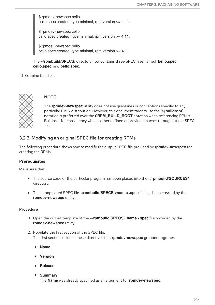\$ rpmdev-newspec bello bello.spec created; type minimal, rpm version >= 4.11.

\$ rpmdev-newspec cello cello.spec created; type minimal, rpm version >= 4.11.

\$ rpmdev-newspec pello pello.spec created; type minimal, rpm version >= 4.11.

The **~/rpmbuild/SPECS/** directory now contains three SPEC files named **bello.spec**, **cello.spec**, and **pello.spec**.

fd. Examine the files:



+

## **NOTE**

The **rpmdev-newspec** utility does not use guidelines or conventions specific to any particular Linux distribution. However, this document targets , so the **%{buildroot}** notation is preferred over the **\$RPM\_BUILD\_ROOT** notation when referencing RPM's Buildroot for consistency with all other defined or provided macros throughout the SPEC file.

## <span id="page-30-0"></span>3.2.3. Modifying an original SPEC file for creating RPMs

The following procedure shows how to modify the output SPEC file provided by **rpmdev-newspec** for creating the RPMs.

## **Prerequisites**

Make sure that:

- The source code of the particular program has been placed into the **~/rpmbuild/SOURCES/** directory.
- The unpopulated SPEC file **~/rpmbuild/SPECS/<name>.spec** file has been created by the **rpmdev-newspec** utility.

## **Procedure**

- 1. Open the output template of the **~/rpmbuild/SPECS/<name>.spec** file provided by the **rpmdev-newspec** utility:
- 2. Populate the first section of the SPEC file: The first section includes these directives that **rpmdev-newspec** grouped together:
	- **Name**
	- **Version**
	- **Release**
	- **Summary**

The **Name** was already specified as an argument to **rpmdev-newspec**.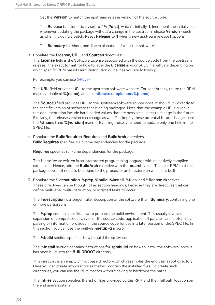Set the **Version** to match the upstream release version of the source code.

The **Release** is automatically set to **1%{?dist}**, which is initially **1**. Increment the initial value whenever updating the package without a change in the upstream release **Version** - such as when including a patch. Reset **Release** to **1** when a new upstream release happens.

The **Summary** is a short, one-line explanation of what this software is.

#### 3. Populate the **License**, **URL**, and **Source0** directives:

The **License** field is the Software License associated with the source code from the upstream release. The exact format for how to label the **License** in your SPEC file will vary depending on which specific RPM based Linux distribution guidelines you are following.

For example, you can use [GPLv3+.](https://www.gnu.org/licenses/quick-guide-gplv3.html)

The **URL** field provides URL to the upstream software website. For consistency, utilize the RPM macro variable of **%{name}**, and use **<https://example.com/%{name}>**.

The **Source0** field provides URL to the upstream software source code. It should link directly to the specific version of software that is being packaged. Note that the example URLs given in this documentation include hard-coded values that are possible subject to change in the future. Similarly, the release version can change as well. To simplify these potential future changes, use the **%{name}** and **%{version}** macros. By using these, you need to update only one field in the SPEC file.

4. Populate the **BuildRequires**, **Requires** and **BuildArch** directives: **BuildRequires** specifies build-time dependencies for the package.

**Requires** specifies run-time dependencies for the package.

This is a software written in an interpreted programming language with no natively compiled extensions. Hence, add the **BuildArch** directive with the **noarch** value. This tells RPM that this package does not need to be bound to the processor architecture on which it is built.

5. Populate the **%description**, **%prep**, **%build**, **%install**, **%files**, and **%license** directives: These directives can be thought of as section headings, because they are directives that can define multi-line, multi-instruction, or scripted tasks to occur.

The **%description** is a longer, fuller description of the software than **Summary**, containing one or more paragraphs.

The **%prep** section specifies how to prepare the build environment. This usually involves expansion of compressed archives of the source code, application of patches, and, potentially, parsing of information provided in the source code for use in a later portion of the SPEC file. In this section you can use the built-in **%setup -q** macro.

The **%build** section specifies how to build the software.

The **%install** section contains instructions for **rpmbuild** on how to install the software, once it has been built, into the **BUILDROOT** directory.

This directory is an empty chroot base directory, which resembles the end user's root directory. Here you can create any directories that will contain the installed files. To create such directories, you can use the RPM macros without having to hardcode the paths.

The **%files** section specifies the list of files provided by this RPM and their full path location on the end user's system.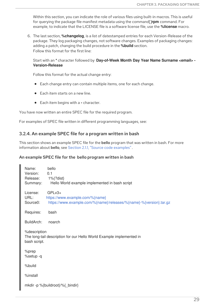<span id="page-32-1"></span>Within this section, you can indicate the role of various files using built-in macros. This is useful for querying the package file manifest metadata using the command[]**rpm** command. For example, to indicate that the LICENSE file is a software license file, use the **%license** macro.

6. The last section, **%changelog**, is a list of datestamped entries for each Version-Release of the package. They log packaging changes, not software changes. Examples of packaging changes: adding a patch, changing the build procedure in the **%build** section. Follow this format for the first line:

Start with an **\*** character followed by **Day-of-Week Month Day Year Name Surname <email> - Version-Release**

Follow this format for the actual change entry:

- Each change entry can contain multiple items, one for each change.
- Each item starts on a new line.
- Each item begins with a **-** character.

You have now written an entire SPEC file for the required program.

For examples of SPEC file written in different programming languages, see:

#### <span id="page-32-0"></span>3.2.4. An example SPEC file for a program written in bash

This section shows an example SPEC file for the **bello** program that was written in bash. For more information about **bello**, see Section 2.1.1, "Source code [examples"](#page-10-2).

#### An example SPEC file for the bello program written in bash

| Name:<br>Version:<br>Release:<br>Summary:                                                            | bello<br>0.1<br>$1\%$ {?dist}<br>Hello World example implemented in bash script                                   |  |
|------------------------------------------------------------------------------------------------------|-------------------------------------------------------------------------------------------------------------------|--|
| License:<br>URL:<br>Source0:                                                                         | $GPLv3+$<br>https://www.example.com/%{name}<br>https://www.example.com/%{name}/releases/%{name}-%{version}.tar.gz |  |
| Requires:                                                                                            | bash                                                                                                              |  |
| BuildArch:                                                                                           | noarch                                                                                                            |  |
| %description<br>The long-tail description for our Hello World Example implemented in<br>bash script. |                                                                                                                   |  |
| %prep<br>%setup -q                                                                                   |                                                                                                                   |  |
| %build                                                                                               |                                                                                                                   |  |
| %install                                                                                             |                                                                                                                   |  |
| mkdir -p %{buildroot}/%{_bindir}                                                                     |                                                                                                                   |  |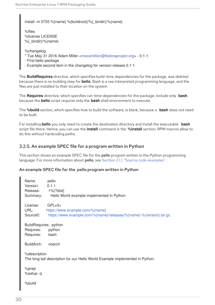install -m 0755 %{name} %{buildroot}/%{\_bindir}/%{name}

%files %license LICENSE %{\_bindir}/%{name}

%changelog

- \* Tue May 31 2016 Adam Miller [<maxamillion@fedoraproject.org>](mailto:maxamillion@fedoraproject.org) 0.1-1
- First bello package
- Example second item in the changelog for version-release 0.1-1

The **BuildRequires** directive, which specifies build-time dependencies for the package, was deleted because there is no building step for **bello**. Bash is a raw interpreted programming language, and the files are just installed to their location on the system.

The **Requires** directive, which specifies run-time dependencies for the package, include only **bash**, because the **bello** script requires only the **bash** shell environment to execute.

The **%build** section, which specifies how to build the software, is blank, because a **bash** does not need to be built.

For installing **bello** you only need to create the destination directory and install the executable **bash** script file there. Hence, you can use the **install** command in the **%install** section. RPM macros allow to do this without hardcoding paths.

## <span id="page-33-0"></span>3.2.5. An example SPEC file for a program written in Python

This section shows an example SPEC file for the **pello** program written in the Python programming language. For more information about pello, see Section 2.1.1, "Source code [examples"](#page-10-2).

#### An example SPEC file for the pello program written in Python

| Name:<br>Version:<br>Release: 1%{?dist}<br>Summary: | pello<br>0.1.1<br>Hello World example implemented in Python                                                       |
|-----------------------------------------------------|-------------------------------------------------------------------------------------------------------------------|
| License:<br>URL:<br>Source0:                        | $GPLv3+$<br>https://www.example.com/%{name}<br>https://www.example.com/%{name}/releases/%{name}-%{version}.tar.gz |
| BuildRequires: python<br>Requires:<br>Requires:     | python<br>bash                                                                                                    |
| BuildArch:                                          | noarch                                                                                                            |
| %description                                        | The long-tail description for our Hello World Example implemented in Python.                                      |
| %prep<br>%setup -q                                  |                                                                                                                   |
| %build                                              |                                                                                                                   |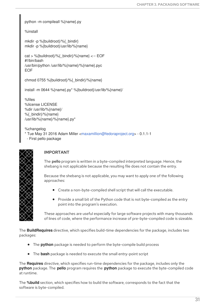python -m compileall %{name}.py

%install

mkdir -p %{buildroot}/%{\_bindir} mkdir -p %{buildroot}/usr/lib/%{name}

cat > %{buildroot}/%{\_bindir}/%{name} <←EOF #!/bin/bash /usr/bin/python /usr/lib/%{name}/%{name}.pyc EOF

chmod 0755 %{buildroot}/%{\_bindir}/%{name}

install -m 0644 %{name}.py\* %{buildroot}/usr/lib/%{name}/

%files %license LICENSE %dir /usr/lib/%{name}/ %{ bindir}/%{name} /usr/lib/%{name}/%{name}.py\*

%changelog \* Tue May 31 2016 Adam Miller [<maxamillion@fedoraproject.org>](mailto:maxamillion@fedoraproject.org) - 0.1.1-1

- First pello package



## IMPORTANT

The pello program is written in a byte-compiled interpreted language. Hence, the shebang is not applicable because the resulting file does not contain the entry.

Because the shebang is not applicable, you may want to apply one of the following approaches:

- Create a non-byte-compiled shell script that will call the executable.
- Provide a small bit of the Python code that is not byte-compiled as the entry point into the program's execution.

These approaches are useful especially for large software projects with many thousands of lines of code, where the performance increase of pre-byte-compiled code is sizeable.

The **BuildRequires** directive, which specifies build-time dependencies for the package, includes two packages:

- The **python** package is needed to perform the byte-compile build process
- The **bash** package is needed to execute the small entry-point script

The **Requires** directive, which specifies run-time dependencies for the package, includes only the **python** package. The **pello** program requires the **python** package to execute the byte-compiled code at runtime.

The **%build** section, which specifies how to build the software, corresponds to the fact that the software is byte-compiled.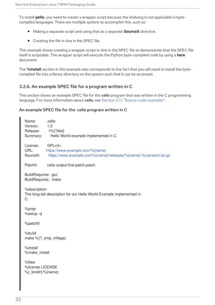To install **pello**, you need to create a wrapper script because the shebang is not applicable in bytecompiled languages. There are multiple options to accomplish this, such as:

- Making a separate script and using that as a separate **SourceX** directive.
- Creating the file in-line in the SPEC file.

This example shows creating a wrapper script in-line in the SPEC file to demonstrate that the SPEC file itself is scriptable. This wrapper script will execute the Python byte-compiled code by using a **here** document.

The **%install** section in this example also corresponds to the fact that you will need to install the bytecompiled file into a library directory on the system such that it can be accessed.

## <span id="page-35-0"></span>3.2.6. An example SPEC file for a program written in C

This section shows an example SPEC file for the **cello** program that was written in the C programming language. For more information about cello, see Section 2.1.1, "Source code [examples"](#page-10-2).

#### An example SPEC file for the cello program written in C

| Name:<br>Version:<br>Release:<br>Summary:                                                  | cello<br>1.0<br>1%{?dist}<br>Hello World example implemented in C                                                 |  |
|--------------------------------------------------------------------------------------------|-------------------------------------------------------------------------------------------------------------------|--|
| License:<br>URL:<br>Source0:                                                               | $GPLv3+$<br>https://www.example.com/%{name}<br>https://www.example.com/%{name}/releases/%{name}-%{version}.tar.gz |  |
| Patch0:                                                                                    | cello-output-first-patch.patch                                                                                    |  |
| BuildRequires: gcc<br>BuildRequires: make                                                  |                                                                                                                   |  |
| %description<br>The long-tail description for our Hello World Example implemented in<br>C. |                                                                                                                   |  |
| %prep<br>%setup-q                                                                          |                                                                                                                   |  |
| %patch0                                                                                    |                                                                                                                   |  |
| %build<br>make %{?_smp_mflags}                                                             |                                                                                                                   |  |
| %install<br>%make_install                                                                  |                                                                                                                   |  |
| %files<br>%license LICENSE<br>%{ bindir}/%{name}                                           |                                                                                                                   |  |
|                                                                                            |                                                                                                                   |  |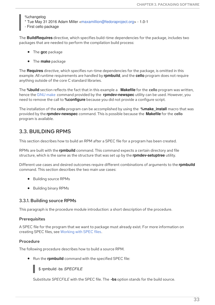%changelog

- \* Tue May 31 2016 Adam Miller [<maxamillion@fedoraproject.org>](mailto:maxamillion@fedoraproject.org) 1.0-1
- First cello package

The **BuildRequires** directive, which specifies build-time dependencies for the package, includes two packages that are needed to perform the compilation build process:

- The **gcc** package
- The **make** package

The **Requires** directive, which specifies run-time dependencies for the package, is omitted in this example. All runtime requirements are handled by **rpmbuild**, and the **cello** program does not require anything outside of the core C standard libraries.

The **%build** section reflects the fact that in this example a **Makefile** for the cello program was written, hence the GNU [make](http://www.gnu.org/software/make/) command provided by the **rpmdev-newspec** utility can be used. However, you need to remove the call to **%configure** because you did not provide a configure script.

The installation of the **cello** program can be accomplished by using the **%make install** macro that was provided by the **rpmdev-newspec** command. This is possible because the **Makefile** for the cello program is available.

## <span id="page-36-0"></span>3.3. BUILDING RPMS

This section describes how to build an RPM after a SPEC file for a program has been created.

RPMs are built with the **rpmbuild** command. This command expects a certain directory and file structure, which is the same as the structure that was set up by the **rpmdev-setuptree** utility.

Different use cases and desired outcomes require different combinations of arguments to the **rpmbuild** command. This section describes the two main use cases:

- Building source RPMs
- Building binary RPMs

## <span id="page-36-1"></span>3.3.1. Building source RPMs

This paragraph is the procedure module introduction: a short description of the procedure.

#### Prerequisites

A SPEC file for the program that we want to package must already exist. For more information on creating SPEC files, see [Working](#page-32-1) with SPEC files.

#### Procedure

The following procedure describes how to build a source RPM.

Run the **rpmbuild** command with the specified SPEC file:

\$ rpmbuild -bs *SPECFILE*

Substitute *SPECFILE* with the SPEC file. The **-bs** option stands for the build source.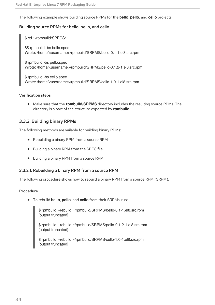The following example shows building source RPMs for the **bello**, **pello**, and **cello** projects.

#### Building source RPMs for bello, pello, and cello.

\$ cd ~/rpmbuild/SPECS/

8\$ rpmbuild -bs bello.spec Wrote: /home/<username>/rpmbuild/SRPMS/bello-0.1-1.el8.src.rpm

\$ rpmbuild -bs pello.spec Wrote: /home/<username>/rpmbuild/SRPMS/pello-0.1.2-1.el8.src.rpm

\$ rpmbuild -bs cello.spec Wrote: /home/<username>/rpmbuild/SRPMS/cello-1.0-1.el8.src.rpm

#### Verification steps

Make sure that the **rpmbuild/SRPMS** directory includes the resulting source RPMs. The directory is a part of the structure expected by **rpmbuild**.

#### <span id="page-37-0"></span>3.3.2. Building binary RPMs

The following methods are vailable for building binary RPMs:

- Rebuilding a binary RPM from a source RPM
- Building a binary RPM from the SPEC file
- Building a binary RPM from a source RPM

#### <span id="page-37-1"></span>3.3.2.1. Rebuilding a binary RPM from a source RPM

The following procedure shows how to rebuild a binary RPM from a source RPM (SRPM).

#### Procedure

To rebuild **bello**, **pello**, and **cello** from their SRPMs, run:

\$ rpmbuild --rebuild ~/rpmbuild/SRPMS/bello-0.1-1.el8.src.rpm [output truncated]

\$ rpmbuild --rebuild ~/rpmbuild/SRPMS/pello-0.1.2-1.el8.src.rpm [output truncated]

\$ rpmbuild --rebuild ~/rpmbuild/SRPMS/cello-1.0-1.el8.src.rpm [output truncated]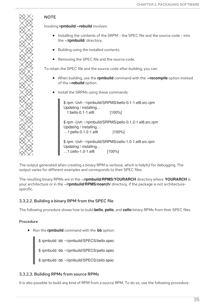

## **NOTE**

Invoking **rpmbuild --rebuild** involves:

- Installing the contents of the SRPM the SPEC file and the source code into the **~/rpmbuild/** directory.
- Building using the installed contents.
- Removing the SPEC file and the source code.

To retain the SPEC file and the source code after building, you can:

- When building, use the **rpmbuild** command with the **--recompile** option instead of the **--rebuild** option.
- **•** Install the SRPMs using these commands:

\$ rpm -Uvh ~/rpmbuild/SRPMS/bello-0.1-1.el8.src.rpm Updating / installing… 1:bello-0.1-1.el8 [100%] \$ rpm -Uvh ~/rpmbuild/SRPMS/pello-0.1.2-1.el8.src.rpm Updating / installing… …1:pello-0.1.2-1.el8 [100%] \$ rpm -Uvh ~/rpmbuild/SRPMS/cello-1.0-1.el8.src.rpm Updating / installing… …1:cello-1.0-1.el8 [100%]

The output generated when creating a binary RPM is verbose, which is helpful for debugging. The output varies for different examples and corresponds to their SPEC files.

The resulting binary RPMs are in the **~/rpmbuild/RPMS/YOURARCH** directory where **YOURARCH** is your architecture or in the **~/rpmbuild/RPMS/noarch/** directory, if the package is not architecturespecific.

## <span id="page-38-0"></span>3.3.2.2. Building a binary RPM from the SPEC file

The following procedure shows how to build **bello**, **pello**, and **cello** binary RPMs from their SPEC files.

#### Procedure

Run the **rpmbuild** command with the **bb** option:

\$ rpmbuild -bb ~/rpmbuild/SPECS/bello.spec

\$ rpmbuild -bb ~/rpmbuild/SPECS/pello.spec

\$ rpmbuild -bb ~/rpmbuild/SPECS/cello.spec

#### <span id="page-38-1"></span>3.3.2.3. Building RPMs from source RPMs

It is also possible to build any kind of RPM from a source RPM. To do so, use the following procedure.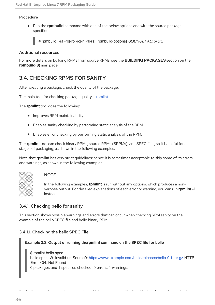#### Procedure

Run the **rpmbuild** command with one of the below options and with the source package specified:

# rpmbuild {-ra|-rb|-rp|-rc|-ri|-rl|-rs} [rpmbuild-options] *SOURCEPACKAGE*

#### Additional resources

For more details on building RPMs from source RPMs, see the **BUILDING PACKAGES** section on the **rpmbuild(8)** man page.

## <span id="page-39-0"></span>3.4. CHECKING RPMS FOR SANITY

After creating a package, check the quality of the package.

The main tool for checking package quality is [rpmlint.](https://github.com/rpm-software-management/rpmlint)

The **rpmlint** tool does the following:

- **•** Improves RPM maintainability.
- Enables sanity checking by performing static analysis of the RPM.
- Enables error checking by performing static analysis of the RPM.

The **rpmlint** tool can check binary RPMs, source RPMs (SRPMs), and SPEC files, so it is useful for all stages of packaging, as shown in the following examples.

Note that **rpmlint** has very strict guidelines; hence it is sometimes acceptable to skip some of its errors and warnings, as shown in the following examples.



#### **NOTE**

In the following examples, **rpmlint** is run without any options, which produces a nonverbose output. For detailed explanations of each error or warning, you can run **rpmlint -i** instead.

## <span id="page-39-1"></span>3.4.1. Checking bello for sanity

This section shows possible warnings and errors that can occur when checking RPM sanity on the example of the bello SPEC file and bello binary RPM.

#### <span id="page-39-2"></span>3.4.1.1. Checking the bello SPEC File

Example 3.2. Output of running the**rpmlint** command on the SPEC file for bello

\$ rpmlint bello.spec bello.spec: W: invalid-url Source0: <https://www.example.com/bello/releases/bello-0.1.tar.gz> HTTP Error 404: Not Found 0 packages and 1 specfiles checked; 0 errors, 1 warnings.

For **bello.spec**, there is only one warning, which says that the URL listed in the **Source0** directive is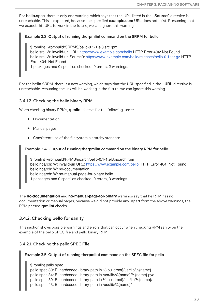For **bello.spec**, there is only one warning, which says that the URL listed in the **Source0** directive is unreachable. This is expected, because the specified **example.com** URL does not exist. Presuming that we expect this URL to work in the future, we can ignore this warning.

#### Example 3.3. Output of running the**rpmlint** command on the SRPM for bello

\$ rpmlint ~/rpmbuild/SRPMS/bello-0.1-1.el8.src.rpm bello.src: W: invalid-url URL: <https://www.example.com/bello> HTTP Error 404: Not Found bello.src: W: invalid-url Source0: <https://www.example.com/bello/releases/bello-0.1.tar.gz> HTTP Error 404: Not Found

1 packages and 0 specfiles checked; 0 errors, 2 warnings.

For the **bello** SRPM, there is a new warning, which says that the URL specified in the **URL** directive is unreachable. Assuming the link will be working in the future, we can ignore this warning.

#### <span id="page-40-0"></span>3.4.1.2. Checking the bello binary RPM

When checking binary RPMs, **rpmlint** checks for the following items:

- Documentation
- Manual pages
- Consistent use of the filesystem hierarchy standard

#### Example 3.4. Output of running the**rpmlint** command on the binary RPM for bello

\$ rpmlint ~/rpmbuild/RPMS/noarch/bello-0.1-1.el8.noarch.rpm bello.noarch: W: invalid-url URL: <https://www.example.com/bello> HTTP Error 404: Not Found bello.noarch: W: no-documentation bello.noarch: W: no-manual-page-for-binary bello 1 packages and 0 specfiles checked; 0 errors, 3 warnings.

The **no-documentation** and **no-manual-page-for-binary** warnings say that he RPM has no documentation or manual pages, because we did not provide any. Apart from the above warnings, the RPM passed **rpmlint** checks.

## <span id="page-40-1"></span>3.4.2. Checking pello for sanity

This section shows possible warnings and errors that can occur when checking RPM sanity on the example of the pello SPEC file and pello binary RPM.

#### <span id="page-40-2"></span>3.4.2.1. Checking the pello SPEC File

#### Example 3.5. Output of running the**rpmlint** command on the SPEC file for pello

\$ rpmlint pello.spec pello.spec:30: E: hardcoded-library-path in %{buildroot}/usr/lib/%{name} pello.spec:34: E: hardcoded-library-path in /usr/lib/%{name}/%{name}.pyc pello.spec:39: E: hardcoded-library-path in %{buildroot}/usr/lib/%{name}/ pello.spec:43: E: hardcoded-library-path in /usr/lib/%{name}/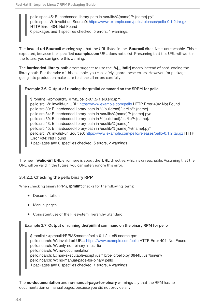pello.spec:45: E: hardcoded-library-path in /usr/lib/%{name}/%{name}.py\* pello.spec: W: invalid-url Source0: <https://www.example.com/pello/releases/pello-0.1.2.tar.gz> HTTP Error 404: Not Found 0 packages and 1 specfiles checked; 5 errors, 1 warnings.

The **invalid-url Source0** warning says that the URL listed in the **Source0** directive is unreachable. This is expected, because the specified **example.com** URL does not exist. Presuming that this URL will work in the future, you can ignore this warning.

The **hardcoded-library-path** errors suggest to use the **%{\_libdir}** macro instead of hard-coding the library path. For the sake of this example, you can safely ignore these errors. However, for packages going into production make sure to check all errors carefully.

#### Example 3.6. Output of running the**rpmlint** command on the SRPM for pello

\$ rpmlint ~/rpmbuild/SRPMS/pello-0.1.2-1.el8.src.rpm pello.src: W: invalid-url URL: <https://www.example.com/pello> HTTP Error 404: Not Found pello.src:30: E: hardcoded-library-path in %{buildroot}/usr/lib/%{name} pello.src:34: E: hardcoded-library-path in /usr/lib/%{name}/%{name}.pyc pello.src:39: E: hardcoded-library-path in %{buildroot}/usr/lib/%{name}/ pello.src:43: E: hardcoded-library-path in /usr/lib/%{name}/ pello.src:45: E: hardcoded-library-path in /usr/lib/%{name}/%{name}.py\* pello.src: W: invalid-url Source0: <https://www.example.com/pello/releases/pello-0.1.2.tar.gz> HTTP Error 404: Not Found 1 packages and 0 specfiles checked; 5 errors, 2 warnings.

The new **invalid-url URL** error here is about the **URL** directive, which is unreachable. Assuming that the URL will be valid in the future, you can safely ignore this error.

## <span id="page-41-0"></span>3.4.2.2. Checking the pello binary RPM

When checking binary RPMs, **rpmlint** checks for the following items:

- Documentation
- Manual pages
- Consistent use of the Filesystem Hierarchy Standard

#### Example 3.7. Output of running the**rpmlint** command on the binary RPM for pello

\$ rpmlint ~/rpmbuild/RPMS/noarch/pello-0.1.2-1.el8.noarch.rpm pello.noarch: W: invalid-url URL: <https://www.example.com/pello> HTTP Error 404: Not Found pello.noarch: W: only-non-binary-in-usr-lib pello.noarch: W: no-documentation pello.noarch: E: non-executable-script /usr/lib/pello/pello.py 0644L /usr/bin/env pello.noarch: W: no-manual-page-for-binary pello 1 packages and 0 specfiles checked; 1 errors, 4 warnings.

The **no-documentation** and **no-manual-page-for-binary** warnings say that the RPM has no documentation or manual pages, because you did not provide any.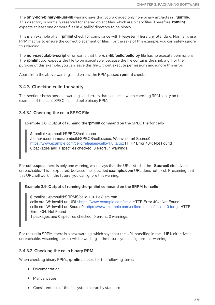The **only-non-binary-in-usr-lib** warning says that you provided only non-binary artifacts in **/usr/lib/**. This directory is normally reserved for shared object files, which are binary files. Therefore, **rpmlint** expects at least one or more files in **/usr/lib/** directory to be binary.

This is an example of an **rpmlint** check for compliance with Filesystem Hierarchy Standard. Normally, use RPM macros to ensure the correct placement of files. For the sake of this example, you can safely ignore this warning.

The **non-executable-script** error warns that the **/usr/lib/pello/pello.py** file has no execute permissions. The **rpmlint** tool expects the file to be executable, because the file contains the shebang. For the purpose of this example, you can leave this file without execute permissions and ignore this error.

Apart from the above warnings and errors, the RPM passed **rpmlint** checks.

## <span id="page-42-0"></span>3.4.3. Checking cello for sanity

This section shows possible warnings and errors that can occur when checking RPM sanity on the example of the cello SPEC file and pello binary RPM.

### <span id="page-42-1"></span>3.4.3.1. Checking the cello SPEC File

#### Example 3.8. Output of running the**rpmlint** command on the SPEC file for cello

\$ rpmlint ~/rpmbuild/SPECS/cello.spec /home/<username>/rpmbuild/SPECS/cello.spec: W: invalid-url Source0: <https://www.example.com/cello/releases/cello-1.0.tar.gz> HTTP Error 404: Not Found 0 packages and 1 specfiles checked; 0 errors, 1 warnings.

For **cello.spec**, there is only one warning, which says that the URL listed in the **Source0** directive is unreachable. This is expected, because the specified **example.com** URL does not exist. Presuming that this URL will work in the future, you can ignore this warning.

#### Example 3.9. Output of running the**rpmlint** command on the SRPM for cello

\$ rpmlint ~/rpmbuild/SRPMS/cello-1.0-1.el8.src.rpm cello.src: W: invalid-url URL: <https://www.example.com/cello> HTTP Error 404: Not Found cello.src: W: invalid-url Source0: <https://www.example.com/cello/releases/cello-1.0.tar.gz> HTTP Error 404: Not Found

1 packages and 0 specfiles checked; 0 errors, 2 warnings.

For the **cello** SRPM, there is a new warning, which says that the URL specified in the **URL** directive is unreachable. Assuming the link will be working in the future, you can ignore this warning.

#### <span id="page-42-2"></span>3.4.3.2. Checking the cello binary RPM

When checking binary RPMs, **rpmlint** checks for the following items:

- Documentation
- Manual pages
- Consistent use of the filesystem hierarchy standard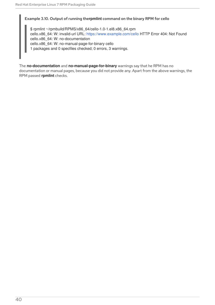#### Example 3.10. Output of running the**rpmlint** command on the binary RPM for cello

\$ rpmlint ~/rpmbuild/RPMS/x86\_64/cello-1.0-1.el8.x86\_64.rpm cello.x86\_64: W: invalid-url URL: <https://www.example.com/cello> HTTP Error 404: Not Found cello.x86\_64: W: no-documentation cello.x86\_64: W: no-manual-page-for-binary cello 1 packages and 0 specfiles checked; 0 errors, 3 warnings.

The **no-documentation** and **no-manual-page-for-binary** warnings say that he RPM has no documentation or manual pages, because you did not provide any. Apart from the above warnings, the RPM passed **rpmlint** checks.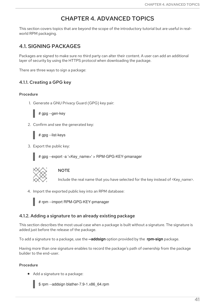## CHAPTER 4. ADVANCED TOPICS

<span id="page-44-0"></span>This section covers topics that are beyond the scope of the introductory tutorial but are useful in realworld RPM packaging.

## <span id="page-44-1"></span>4.1. SIGNING PACKAGES

Packages are signed to make sure no third party can alter their content. A user can add an additional layer of security by using the HTTPS protocol when downloading the package.

There are three ways to sign a package:

## <span id="page-44-2"></span>4.1.1. Creating a GPG key

#### Procedure

1. Generate a GNU Privacy Guard (GPG) key pair:

# gpg --gen-key

2. Confirm and see the generated key:

# gpg --list-keys

3. Export the public key:

# gpg --export -a '<Key\_name>' > RPM-GPG-KEY-pmanager



#### **NOTE**

Include the real name that you have selected for the key instead of <Key\_name>.

4. Import the exported public key into an RPM database:



# rpm --import RPM-GPG-KEY-pmanager

## <span id="page-44-3"></span>4.1.2. Adding a signature to an already existing package

This section describes the most usual case when a package is built without a signature. The signature is added just before the release of the package.

To add a signature to a package, use the **--addsign** option provided by the **rpm-sign** package.

Having more than one signature enables to record the package's path of ownership from the package builder to the end-user.

#### Procedure

Add a signature to a package:

\$ rpm --addsign blather-7.9-1.x86\_64.rpm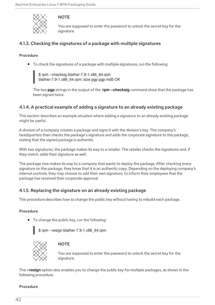

## **NOTE**

You are supposed to enter the password to unlock the secret key for the signature.

## <span id="page-45-0"></span>4.1.3. Checking the signatures of a package with multiple signatures

#### Procedure

To check the signatures of a package with multiple signatures, run the following:

\$ rpm --checksig blather-7.9-1.x86\_64.rpm blather-7.9-1.x86\_64.rpm: size pgp pgp md5 OK

The two **pgp** strings in the output of the **rpm --checksig** command show that the package has been signed twice.

## <span id="page-45-1"></span>4.1.4. A practical example of adding a signature to an already existing package

This section describes an example situation where adding a signature to an already existing package might be useful.

A division of a company creates a package and signs it with the division's key. The company's headquarters then checks the package's signature and adds the corporate signature to the package, stating that the signed package is authentic.

With two signatures, the package makes its way to a retailer. The retailer checks the signatures and, if they match, adds their signature as well.

The package now makes its way to a company that wants to deploy the package. After checking every signature on the package, they know that it is an authentic copy. Depending on the deploying company's internal controls, they may choose to add their own signature, to inform their employees that the package has received their corporate approval

## <span id="page-45-2"></span>4.1.5. Replacing the signature on an already existing package

This procedure describes how to change the public key without having to rebuild each package.

#### Procedure

• To change the public key, run the following:

\$ rpm --resign blather-7.9-1.x86\_64.rpm



#### **NOTE**

You are supposed to enter the password to unlock the secret key for the signature.

The **--resign** option also enables you to change the public key for multiple packages, as shown in the following procedure.

#### Procedure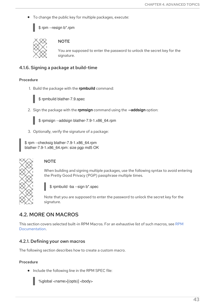To change the public key for multiple packages, execute:

\$ rpm --resign b\*.rpm



## **NOTE**

You are supposed to enter the password to unlock the secret key for the signature.

## <span id="page-46-0"></span>4.1.6. Signing a package at build-time

#### Procedure

1. Build the package with the **rpmbuild** command:



\$ rpmbuild blather-7.9.spec

2. Sign the package with the **rpmsign** command using the **--addsign** option:



\$ rpmsign --addsign blather-7.9-1.x86\_64.rpm

3. Optionally, verify the signature of a package:

\$ rpm --checksig blather-7.9-1.x86\_64.rpm blather-7.9-1.x86\_64.rpm: size pgp md5 OK



## **NOTE**

When building and signing multiple packages, use the following syntax to avoid entering the Pretty Good Privacy (PGP) passphrase multiple times.

\$ rpmbuild -ba --sign b\*.spec

Note that you are supposed to enter the password to unlock the secret key for the signature.

## <span id="page-46-1"></span>4.2. MORE ON MACROS

This section covers selected built-in RPM Macros. For an exhaustive list of such macros, see RPM [Documentation.](http://rpm.org/user_doc/macros.html)

## <span id="page-46-2"></span>4.2.1. Defining your own macros

The following section describes how to create a custom macro.

#### Procedure

 $\bullet$ Include the following line in the RPM SPEC file:



%global <name>[(opts)] <br/>body>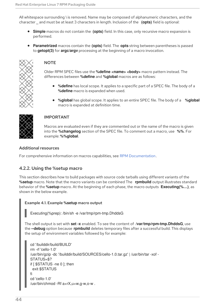All whitespace surrounding **\** is removed. Name may be composed of alphanumeric characters, and the character **\_** and must be at least 3 characters in length. Inclusion of the **(opts)** field is optional:

- **Simple** macros do not contain the **(opts)** field. In this case, only recursive macro expansion is performed.
- **Parametrized** macros contain the **(opts)** field. The **opts** string between parentheses is passed to **getopt(3)** for **argc/argv** processing at the beginning of a macro invocation.



#### **NOTE**

Older RPM SPEC files use the **%define** <name> <br/>body> macro pattern instead. The differences between **%define** and **%global** macros are as follows:

- **%define** has local scope. It applies to a specific part of a SPEC file. The body of a **%define** macro is expanded when used.
- **%global** has global scope. It applies to an entire SPEC file. The body of a **%global** macro is expanded at definition time.



### IMPORTANT

Macros are evaluated even if they are commented out or the name of the macro is given into the **%changelog** section of the SPEC file. To comment out a macro, use **%%**. For example: **%%global**.

#### Additional resources

For comprehensive information on macros capabilities, see RPM [Documentation](http://rpm.org/user_doc/macros.html).

## <span id="page-47-0"></span>4.2.2. Using the %setup macro

This section describes how to build packages with source code tarballs using different variants of the **%setup** macro. Note that the macro variants can be combined The **rpmbuild** output illustrates standard behavior of the **%setup** macro. At the beginning of each phase, the macro outputs **Executing(%…)**, as shown in the below example.

#### Example 4.1. Example **%setup** macro output

Executing(%prep): /bin/sh -e /var/tmp/rpm-tmp.DhddsG

The shell output is set with **set -x** enabled. To see the content of **/var/tmp/rpm-tmp.DhddsG**, use the **--debug** option because **rpmbuild** deletes temporary files after a successful build. This displays the setup of environment variables followed by for example:

```
cd '/builddir/build/BUILD'
rm -rf 'cello-1.0'
/usr/bin/gzip -dc '/builddir/build/SOURCES/cello-1.0.tar.gz' | /usr/bin/tar -xof -
STATUS=$?
if [ $STATUS -ne 0 ]; then
 exit $STATUS
fi
cd 'cello-1.0'
/usr/bin/chmod -Rf a+rX,u+w,g-w,o-w .
```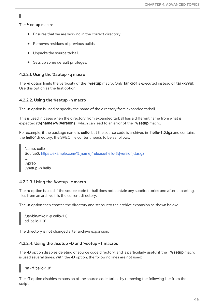The **%setup** macro:

- Ensures that we are working in the correct directory.
- Removes residues of previous builds.
- $\bullet$  Unpacks the source tarball.
- Sets up some default privileges.

#### <span id="page-48-0"></span>4.2.2.1. Using the %setup -q macro

The **-q** option limits the verbosity of the **%setup** macro. Only **tar -xof** is executed instead of **tar -xvvof**. Use this option as the first option.

#### <span id="page-48-1"></span>4.2.2.2. Using the %setup -n macro

The **-n** option is used to specify the name of the directory from expanded tarball.

This is used in cases when the directory from expanded tarball has a different name from what is expected (**%{name}-%{version}**), which can lead to an error of the **%setup** macro.

For example, if the package name is **cello**, but the source code is archived in **hello-1.0.tgz** and contains the **hello/** directory, the SPEC file content needs to be as follows:

Name: cello Source0: <https://example.com/%{name}/release/hello-%{version}.tar.gz> … %prep %setup -n hello

#### <span id="page-48-2"></span>4.2.2.3. Using the %setup -c macro

The **-c** option is used if the source code tarball does not contain any subdirectories and after unpacking, files from an archive fills the current directory.

The **-c** option then creates the directory and steps into the archive expansion as shown below:

/usr/bin/mkdir -p cello-1.0 cd 'cello-1.0'

The directory is not changed after archive expansion.

#### <span id="page-48-3"></span>4.2.2.4. Using the %setup -D and %setup -T macros

The **-D** option disables deleting of source code directory, and is particularly useful if the **%setup** macro is used several times. With the **-D** option, the following lines are not used:

rm -rf 'cello-1.0'

The **-T** option disables expansion of the source code tarball by removing the following line from the script: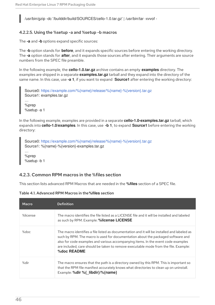/usr/bin/gzip -dc '/builddir/build/SOURCES/cello-1.0.tar.gz' | /usr/bin/tar -xvvof -

#### <span id="page-49-0"></span>4.2.2.5. Using the %setup -a and %setup -b macros

The **-a** and **-b** options expand specific sources:

The **-b** option stands for **before**, and it expands specific sources before entering the working directory. The **-a** option stands for **after**, and it expands those sources after entering. Their arguments are source numbers from the SPEC file preamble.

In the following example, the **cello-1.0.tar.gz** archive contains an empty **examples** directory. The examples are shipped in a separate **examples.tar.gz** tarball and they expand into the directory of the same name. In this case, use **-a 1**, if you want to expand **Source1** after entering the working directory:

Source0: <https://example.com/%{name}/release/%{name}-%{version}.tar.gz> Source1: examples.tar.gz

%prep %setup -a 1

…

In the following example, examples are provided in a separate **cello-1.0-examples.tar.gz** tarball, which expands into **cello-1.0/examples**. In this case, use **-b 1**, to expand **Source1** before entering the working directory:

Source0: <https://example.com/%{name}/release/%{name}-%{version}.tar.gz> Source1: %{name}-%{version}-examples.tar.gz

%prep %setup -b 1

…

## <span id="page-49-1"></span>4.2.3. Common RPM macros in the %files section

This section lists advanced RPM Macros that are needed in the **%files** section of a SPEC file.

Table 4.1. Advanced RPM Macros in the**%files** section

| Macro    | <b>Definition</b>                                                                                                                                                                                                                                                                                                                                                           |
|----------|-----------------------------------------------------------------------------------------------------------------------------------------------------------------------------------------------------------------------------------------------------------------------------------------------------------------------------------------------------------------------------|
| %license | The macro identifies the file listed as a LICENSE file and it will be installed and labeled<br>as such by RPM. Example: <b>%license LICENSE</b>                                                                                                                                                                                                                             |
| $%$ doc  | The macro identifies a file listed as documentation and it will be installed and labeled as<br>such by RPM. The macro is used for documentation about the packaged software and<br>also for code examples and various accompanying items. In the event code examples<br>are included, care should be taken to remove executable mode from the file. Example:<br>%doc README |
| %dir     | The macro ensures that the path is a directory owned by this RPM. This is important so<br>that the RPM file manifest accurately knows what directories to clean up on uninstall.<br>Example: %dir %{ libdir}/%{name}                                                                                                                                                        |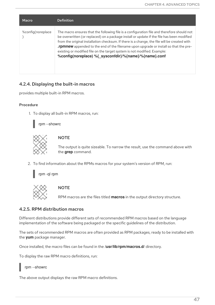| Macro             | <b>Definition</b>                                                                                                                                                                                                                                                                                                                                                                                                                                                                                                            |
|-------------------|------------------------------------------------------------------------------------------------------------------------------------------------------------------------------------------------------------------------------------------------------------------------------------------------------------------------------------------------------------------------------------------------------------------------------------------------------------------------------------------------------------------------------|
| %config(noreplace | The macro ensures that the following file is a configuration file and therefore should not<br>be overwritten (or replaced) on a package install or update if the file has been modified<br>from the original installation checksum. If there is a change, the file will be created with<br><b>.rpmnew</b> appended to the end of the filename upon upgrade or install so that the pre-<br>existing or modified file on the target system is not modified. Example:<br>%config(noreplace) %{ sysconfdir}/%{name}/%{name}.conf |

## <span id="page-50-0"></span>4.2.4. Displaying the built-in macros

provides multiple built-in RPM macros.

#### Procedure

1. To display all built-in RPM macros, run:





#### **NOTE**

The output is quite sizeable. To narrow the result, use the command above with the **grep** command.

2. To find information about the RPMs macros for your system's version of RPM, run:

rpm -ql rpm



#### **NOTE**

RPM macros are the files titled **macros** in the output directory structure.

### <span id="page-50-1"></span>4.2.5. RPM distribution macros

Different distributions provide different sets of recommended RPM macros based on the language implementation of the software being packaged or the specific guidelines of the distribution.

The sets of recommended RPM macros are often provided as RPM packages, ready to be installed with the **yum** package manager.

Once installed, the macro files can be found in the **/usr/lib/rpm/macros.d/** directory.

To display the raw RPM macro definitions, run:

rpm --showrc

The above output displays the raw RPM macro definitions.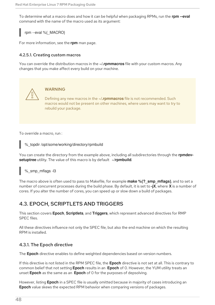To determine what a macro does and how it can be helpful when packaging RPMs, run the **rpm --eval** command with the name of the macro used as its argument:

rpm --eval %{\_MACRO}

For more information, see the **rpm** man page.

#### <span id="page-51-0"></span>4.2.5.1. Creating custom macros

You can override the distribution macros in the **~/.rpmmacros** file with your custom macros. Any changes that you make affect every build on your machine.



#### WARNING

Defining any new macros in the **~/.rpmmacros** file is not recommended. Such macros would not be present on other machines, where users may want to try to rebuild your package.

To override a macro, run :

%\_topdir /opt/some/working/directory/rpmbuild

You can create the directory from the example above, including all subdirectories through the **rpmdevsetuptree** utility. The value of this macro is by default **~/rpmbuild**.

%\_smp\_mflags -l3

The macro above is often used to pass to Makefile, for example **make %{?\_smp\_mflags}**, and to set a number of concurrent processes during the build phase. By default, it is set to **-jX**, where **X** is a number of cores. If you alter the number of cores, you can speed up or slow down a build of packages.

## <span id="page-51-1"></span>4.3. EPOCH, SCRIPTLETS AND TRIGGERS

This section covers **Epoch**, **Scriptlets**, and **Triggers**, which represent advanced directives for RMP SPEC files.

All these directives influence not only the SPEC file, but also the end machine on which the resulting RPM is installed.

## <span id="page-51-2"></span>4.3.1. The Epoch directive

The **Epoch** directive enables to define weighted dependencies based on version numbers.

If this directive is not listed in the RPM SPEC file, the **Epoch** directive is not set at all. This is contrary to common belief that not setting **Epoch** results in an **Epoch** of 0. However, the YUM utility treats an unset **Epoch** as the same as an **Epoch** of 0 for the purposes of depsolving.

However, listing **Epoch** in a SPEC file is usually omitted because in majority of cases introducing an **Epoch** value skews the expected RPM behavior when comparing versions of packages.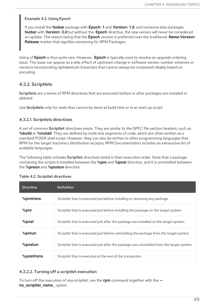#### Example 4.2. Using Epoch

If you install the **foobar** package with **Epoch: 1** and **Version: 1.0**, and someone else packages **foobar** with **Version: 2.0** but without the **Epoch** directive, the new version will never be considered an update. The reason being that the **Epoch** version is preferred over the traditional **Name-Version-Release** marker that signifies versioning for RPM Packages.

Using of **Epoch** is thus quite rare. However, **Epoch** is typically used to resolve an upgrade ordering issue. The issue can appear as a side effect of upstream change in software version number schemes or versions incorporating alphabetical characters that cannot always be compared reliably based on encoding.

### <span id="page-52-0"></span>4.3.2. Scriptlets

Scriptlets are a series of RPM directives that are executed before or after packages are installed or deleted.

Use **Scriptlets** only for tasks that cannot be done at build time or in an start up script.

#### <span id="page-52-1"></span>4.3.2.1. Scriptlets directives

A set of common Scriptlet directives exists. They are similar to the SPEC file section headers, such as **%build** or **%install**. They are defined by multi-line segments of code, which are often written as a standard POSIX shell script. However, they can also be written in other programming languages that RPM for the target machine's distribution accepts. RPM Documentation includes an exhaustive list of available languages.

The following table includes **Scriptlet** directives listed in their execution order. Note that a package containing the scripts is installed between the **%pre** and **%post** directive, and it is uninstalled between the **%preun** and **%postun** directive.

| <b>Directive</b> | <b>Definition</b>                                                                         |
|------------------|-------------------------------------------------------------------------------------------|
| %pretrans        | Scriptlet that is executed just before installing or removing any package.                |
| $%$ pre          | Scriptlet that is executed just before installing the package on the target system.       |
| %post            | Scriptlet that is executed just after the package was installed on the target system.     |
| %preun           | Scriptlet that is executed just before uninstalling the package from the target system.   |
| %postun          | Scriptlet that is executed just after the package was uninstalled from the target system. |
| %posttrans       | Scriptlet that is executed at the end of the transaction.                                 |

#### Table 4.2. Scriptlet directives

#### <span id="page-52-2"></span>4.3.2.2. Turning off a scriptlet execution

To turn off the execution of any scriptlet, use the **rpm** command together with the **- no** scriptlet name option.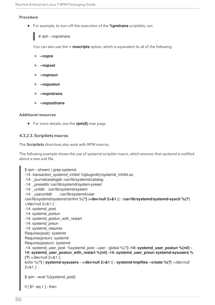#### Procedure

For example, to turn off the execution of the **%pretrans** scriptlets, run:

# rpm --nopretrans

You can also use the **-- noscripts** option, which is equivalent to all of the following:

- **--nopre**
- **--nopost**
- **--nopreun**
- **--nopostun**
- **--nopretrans**
- **--noposttrans**

#### Additional resources

For more details, see the **rpm(8)** man page.

#### <span id="page-53-0"></span>4.3.2.3. Scriptlets macros

The Scriptlets directives also work with RPM macros.

The following example shows the use of systemd scriptlet macro, which ensures that systemd is notified about a new unit file.

```
$ rpm --showrc | grep systemd
-14: transaction_systemd_inhibit %{plugindir}/systemd_inhibit.so
-14: _journalcatalogdir /usr/lib/systemd/catalog
-14: _presetdir /usr/lib/systemd/system-preset
-14: unitdir /usr/lib/systemd/system
-14: userunitdir /usr/lib/systemd/user
/usr/lib/systemd/systemd-binfmt %{?} >/dev/null 2>&1 || : /usr/lib/systemd/systemd-sysctl %{?}
>/dev/null 2>&1 || :
-14: systemd_post
-14: systemd_postun
-14: systemd_postun_with_restart
-14: systemd_preun
-14: systemd_requires
Requires(post): systemd
Requires(preun): systemd
Requires(postun): systemd
-14: systemd_user_post %systemd_post --user --global %{?} -14: systemd_user_postun %{nil} -
14: systemd_user_postun_with_restart %{nil} -14: systemd_user_preun systemd-sysusers %
{?} >/dev/null 2>&1 || :
echo %{?} | systemd-sysusers - >/dev/null 2>&1 || : systemd-tmpfiles --create %{?} >/dev/null
2>&1 || :
$ rpm --eval %{systemd_post}
```
if [ \$1 -eq 1 ] ; then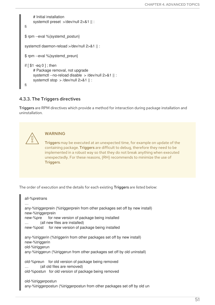```
# Initial installation
     systemctl preset >/dev/null 2>&1 || :
fi
$ rpm --eval %{systemd_postun}
systemctl daemon-reload >/dev/null 2>&1 || :
$ rpm --eval %{systemd_preun}
if \lceil $1 - eq \ 0 \rceil; then
     # Package removal, not upgrade
     systemctl --no-reload disable > /dev/null 2>&1 || :
     systemctl stop > /dev/null 2>&1 || :
fi
```
### <span id="page-54-0"></span>4.3.3. The Triggers directives

Triggers are RPM directives which provide a method for interaction during package installation and uninstallation.



## WARNING

Triggers may be executed at an unexpected time, for example on update of the containing package. Triggers are difficult to debug, therefore they need to be implemented in a robust way so that they do not break anything when executed unexpectedly. For these reasons, {RH} recommends to minimize the use of Triggers.

The order of execution and the details for each existing Triggers are listed below:

```
all-%pretrans
…
any-%triggerprein (%triggerprein from other packages set off by new install)
new-%triggerprein
new-%pre for new version of package being installed
        (all new files are installed)
new-%post for new version of package being installed
any-%triggerin (%triggerin from other packages set off by new install)
new-%triggerin
old-%triggerun
any-%triggerun (%triggerun from other packages set off by old uninstall)
old-%preun for old version of package being removed
… (all old files are removed)
old-%postun for old version of package being removed
old-%triggerpostun
any-%triggerpostun (%triggerpostun from other packages set off by old un
```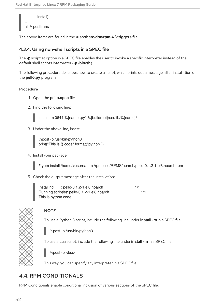install) … all-%posttrans

The above items are found in the **/usr/share/doc/rpm-4.\*/triggers** file.

## <span id="page-55-0"></span>4.3.4. Using non-shell scripts in a SPEC file

The **-p** scriptlet option in a SPEC file enables the user to invoke a specific interpreter instead of the default shell scripts interpreter (**-p /bin/sh**).

The following procedure describes how to create a script, which prints out a message after installation of the **pello.py** program:

### Procedure

- 1. Open the **pello.spec** file.
- 2. Find the following line:

install -m 0644 %{name}.py\* %{buildroot}/usr/lib/%{name}/

3. Under the above line, insert:

%post -p /usr/bin/python3 print("This is {} code".format("python"))

4. Install your package:

# yum install /home/<username>/rpmbuild/RPMS/noarch/pello-0.1.2-1.el8.noarch.rpm

5. Check the output message after the installation:



## **NOTE**

To use a Python 3 script, include the following line under **install -m** in a SPEC file:

%post -p /usr/bin/python3

To use a Lua script, include the following line under **install -m** in a SPEC file:

%post -p <lua>

This way, you can specify any interpreter in a SPEC file.

## <span id="page-55-1"></span>4.4. RPM CONDITIONALS

RPM Conditionals enable conditional inclusion of various sections of the SPEC file.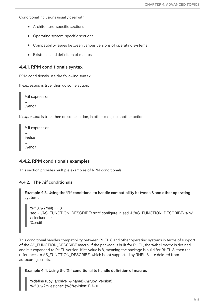Conditional inclusions usually deal with:

- Architecture-specific sections
- Operating system-specific sections
- Compatibility issues between various versions of operating systems
- Existence and definition of macros

#### <span id="page-56-0"></span>4.4.1. RPM conditionals syntax

RPM conditionals use the following syntax:

If *expression* is true, then do some action:

%if expression … %endif

If *expression* is true, then do some action, in other case, do another action:

| %if expression |
|----------------|
|                |
| %else          |
| %endif         |
|                |

#### <span id="page-56-1"></span>4.4.2. RPM conditionals examples

This section provides multiple examples of RPM conditionals.

#### <span id="page-56-2"></span>4.4.2.1. The %if conditionals

Example 4.3. Using the %if conditional to handle compatibility between 8 and other operating systems

%if 0%{?rhel} == 8 sed -i '/AS\_FUNCTION\_DESCRIBE/ s/^//' configure.in sed -i '/AS\_FUNCTION\_DESCRIBE/ s/^//' acinclude.m4 %endif

This conditional handles compatibility between RHEL 8 and other operating systems in terms of support of the AS\_FUNCTION\_DESCRIBE macro. If the package is built for RHEL, the **%rhel** macro is defined, and it is expanded to RHEL version. If its value is 8, meaning the package is build for RHEL 8, then the references to AS\_FUNCTION\_DESCRIBE, which is not supported by RHEL 8, are deleted from autoconfig scripts.

#### Example 4.4. Using the %if conditional to handle definition of macros

%define ruby\_archive %{name}-%{ruby\_version} %if 0%{?milestone:1}%{?revision:1} != 0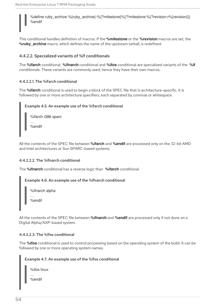%define ruby\_archive %{ruby\_archive}-%{?milestone}%{?!milestone:%{?revision:r%{revision}}} %endif

This conditional handles definition of macros. If the **%milestone** or the **%revision** macros are set, the **%ruby\_archive** macro, which defines the name of the upstream tarball, is redefined.

#### <span id="page-57-0"></span>4.4.2.2. Specialized variants of %if conditionals

The **%ifarch** conditional, **%ifnarch** conditional and **%ifos** conditional are specialized variants of the **%if** conditionals. These variants are commonly used, hence they have their own macros.

#### <span id="page-57-1"></span>4.4.2.2.1. The %ifarch conditional

The **%ifarch** conditional is used to begin a block of the SPEC file that is architecture-specific. It is followed by one or more architecture specifiers, each separated by commas or whitespace.

#### Example 4.5. An example use of the %ifarch conditional

| %ifarch i386 sparc |  |
|--------------------|--|
| %endif             |  |

All the contents of the SPEC file between **%ifarch** and **%endif** are processed only on the 32-bit AMD and Intel architectures or Sun SPARC-based systems.

#### <span id="page-57-2"></span>4.4.2.2.2. The %ifnarch conditional

The **%ifnarch** conditional has a reverse logic than **%ifarch** conditional.

#### Example 4.6. An example use of the %ifnarch conditional

%ifnarch alpha

… %endif

All the contents of the SPEC file between **%ifnarch** and **%endif** are processed only if not done on a Digital Alpha/AXP-based system.

#### <span id="page-57-3"></span>4.4.2.2.3. The %ifos conditional

The **%ifos** conditional is used to control processing based on the operating system of the build. It can be followed by one or more operating system names.

#### Example 4.7. An example use of the %ifos conditional

| %ifos linux |  |
|-------------|--|
| %endif      |  |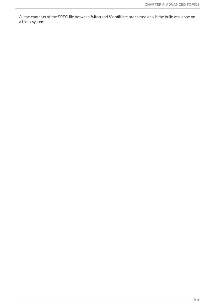All the contents of the SPEC file between **%ifos** and **%endif** are processed only if the build was done on a Linux system.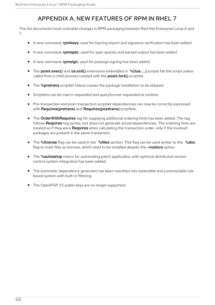## APPENDIX A. NEW FEATURES OF RPM IN RHEL 7

<span id="page-59-0"></span>This list documents most noticable changes in RPM packaging between Red Hat Enterprise Linux 6 and 7.

- A new command, **rpmkeys**, used for keyring import and signature verification has been added.
- A new command, **rpmspec**, used for spec queries and parsed output has been added.
- A new command, **rpmsign**, used for package signing has been added.
- The **posix.exec()** and **os.exit()** extensions embedded in **%{lua:…}** scripts fail the script unless called from a child process created with the **posix.fork()** scriptlet.
- The **%pretrans** scriptlet failure causes the package installation to be skipped.
- Scriptlets can be macro-expanded and queryformat-expanded at runtime.
- Pre-transaction and post-transaction scriptlet dependencies can now be correctly expressed with **Requires(pretrans)** and **Requires(posttrans)** scriptlets.
- The **OrderWithRequires** tag for supplying additional ordering hints has been added. The tag follows **Requires** tag syntax, but does not generate actual dependencies. The ordering hints are treated as if they were **Requires** when calculating the transaction order, only if the involved packages are present in the same transaction.
- The **%license** flag can be used in the **%files** section. This flag can be used similar to the **%doc** flag to mark files as licenses, which need to be installed despite the **--nodocs** option.
- The **%autosetup** macro for automating patch application, with optional distributed version control system integration has been added.
- The automatic dependency generator has been rewritten into extensible and customizable rule based system with built-in filtering.
- The OpenPGP V3 public keys are no longer supported.